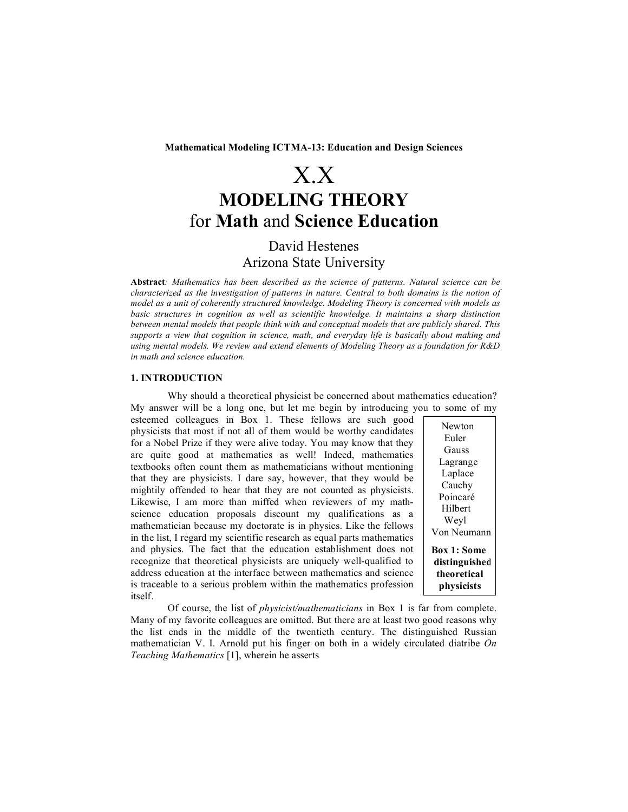# **Mathematical Modeling ICTMA-13: Education and Design Sciences**

# X.X **MODELING THEORY** for **Math** and **Science Education**

# David Hestenes Arizona State University

**Abstract***: Mathematics has been described as the science of patterns. Natural science can be characterized as the investigation of patterns in nature. Central to both domains is the notion of model as a unit of coherently structured knowledge. Modeling Theory is concerned with models as basic structures in cognition as well as scientific knowledge. It maintains a sharp distinction between mental models that people think with and conceptual models that are publicly shared. This supports a view that cognition in science, math, and everyday life is basically about making and using mental models. We review and extend elements of Modeling Theory as a foundation for R&D in math and science education.*

#### **1. INTRODUCTION**

Why should a theoretical physicist be concerned about mathematics education? My answer will be a long one, but let me begin by introducing you to some of my esteemed colleagues in Box 1. These fellows are such good physicists that most if not all of them would be worthy candidates for a Nobel Prize if they were alive today. You may know that they are quite good at mathematics as well! Indeed, mathematics textbooks often count them as mathematicians without mentioning that they are physicists. I dare say, however, that they would be mightily offended to hear that they are not counted as physicists. Likewise, I am more than miffed when reviewers of my mathscience education proposals discount my qualifications as a mathematician because my doctorate is in physics. Like the fellows in the list, I regard my scientific research as equal parts mathematics and physics. The fact that the education establishment does not recognize that theoretical physicists are uniquely well-qualified to address education at the interface between mathematics and science is traceable to a serious problem within the mathematics profession itself.

 Newton Euler Gauss Lagrange Laplace Cauchy Poincaré Hilbert Weyl Von Neumann **Box 1: Some distinguished theoretical physicists**

Of course, the list of *physicist/mathematicians* in Box 1 is far from complete. Many of my favorite colleagues are omitted. But there are at least two good reasons why the list ends in the middle of the twentieth century. The distinguished Russian mathematician V. I. Arnold put his finger on both in a widely circulated diatribe *On Teaching Mathematics* [1], wherein he asserts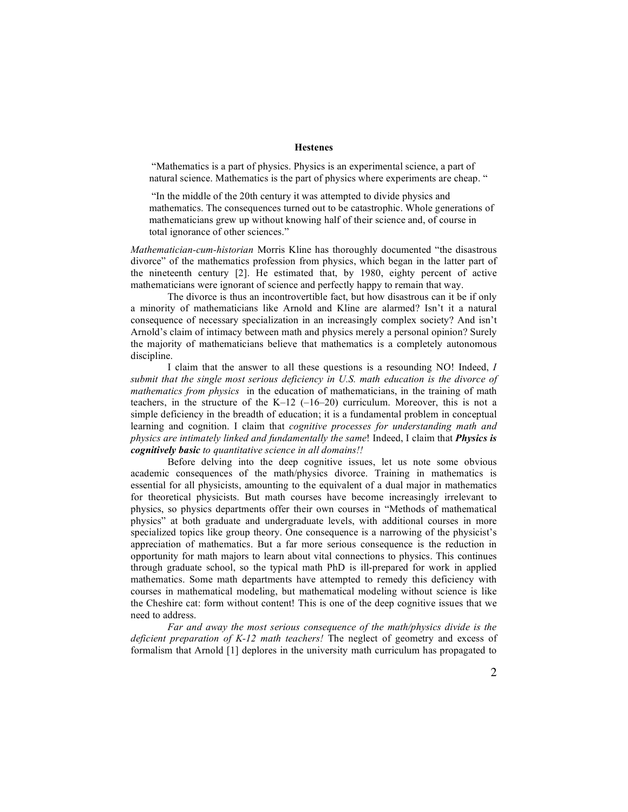"Mathematics is a part of physics. Physics is an experimental science, a part of natural science. Mathematics is the part of physics where experiments are cheap. "

 "In the middle of the 20th century it was attempted to divide physics and mathematics. The consequences turned out to be catastrophic. Whole generations of mathematicians grew up without knowing half of their science and, of course in total ignorance of other sciences."

*Mathematician-cum-historian* Morris Kline has thoroughly documented "the disastrous divorce" of the mathematics profession from physics, which began in the latter part of the nineteenth century [2]. He estimated that, by 1980, eighty percent of active mathematicians were ignorant of science and perfectly happy to remain that way.

The divorce is thus an incontrovertible fact, but how disastrous can it be if only a minority of mathematicians like Arnold and Kline are alarmed? Isn't it a natural consequence of necessary specialization in an increasingly complex society? And isn't Arnold's claim of intimacy between math and physics merely a personal opinion? Surely the majority of mathematicians believe that mathematics is a completely autonomous discipline.

I claim that the answer to all these questions is a resounding NO! Indeed, *I submit that the single most serious deficiency in U.S. math education is the divorce of mathematics from physics* in the education of mathematicians, in the training of math teachers, in the structure of the  $K-12$   $(-16-20)$  curriculum. Moreover, this is not a simple deficiency in the breadth of education; it is a fundamental problem in conceptual learning and cognition. I claim that *cognitive processes for understanding math and physics are intimately linked and fundamentally the same*! Indeed, I claim that *Physics is cognitively basic to quantitative science in all domains!!*

Before delving into the deep cognitive issues, let us note some obvious academic consequences of the math/physics divorce. Training in mathematics is essential for all physicists, amounting to the equivalent of a dual major in mathematics for theoretical physicists. But math courses have become increasingly irrelevant to physics, so physics departments offer their own courses in "Methods of mathematical physics" at both graduate and undergraduate levels, with additional courses in more specialized topics like group theory. One consequence is a narrowing of the physicist's appreciation of mathematics. But a far more serious consequence is the reduction in opportunity for math majors to learn about vital connections to physics. This continues through graduate school, so the typical math PhD is ill-prepared for work in applied mathematics. Some math departments have attempted to remedy this deficiency with courses in mathematical modeling, but mathematical modeling without science is like the Cheshire cat: form without content! This is one of the deep cognitive issues that we need to address.

*Far and away the most serious consequence of the math/physics divide is the deficient preparation of K-12 math teachers!* The neglect of geometry and excess of formalism that Arnold [1] deplores in the university math curriculum has propagated to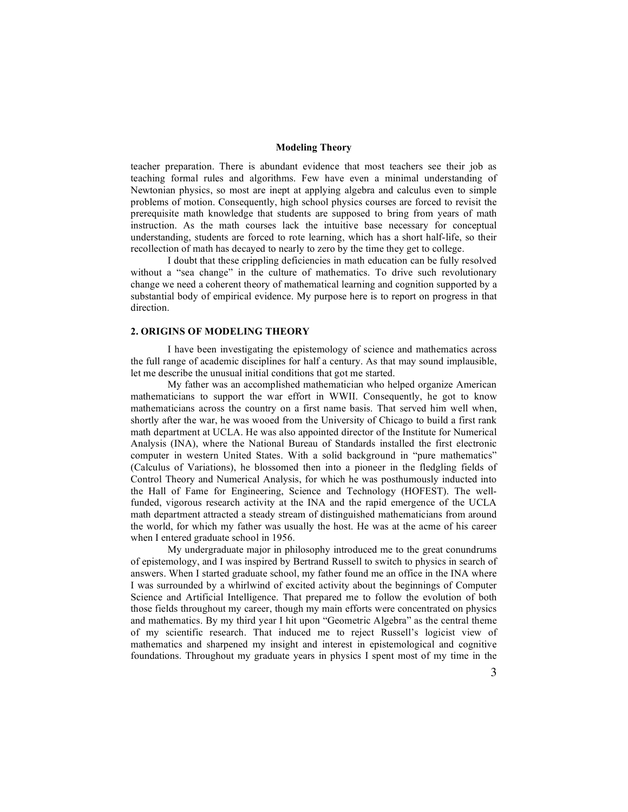teacher preparation. There is abundant evidence that most teachers see their job as teaching formal rules and algorithms. Few have even a minimal understanding of Newtonian physics, so most are inept at applying algebra and calculus even to simple problems of motion. Consequently, high school physics courses are forced to revisit the prerequisite math knowledge that students are supposed to bring from years of math instruction. As the math courses lack the intuitive base necessary for conceptual understanding, students are forced to rote learning, which has a short half-life, so their recollection of math has decayed to nearly to zero by the time they get to college.

I doubt that these crippling deficiencies in math education can be fully resolved without a "sea change" in the culture of mathematics. To drive such revolutionary change we need a coherent theory of mathematical learning and cognition supported by a substantial body of empirical evidence. My purpose here is to report on progress in that direction.

#### **2. ORIGINS OF MODELING THEORY**

I have been investigating the epistemology of science and mathematics across the full range of academic disciplines for half a century. As that may sound implausible, let me describe the unusual initial conditions that got me started.

My father was an accomplished mathematician who helped organize American mathematicians to support the war effort in WWII. Consequently, he got to know mathematicians across the country on a first name basis. That served him well when, shortly after the war, he was wooed from the University of Chicago to build a first rank math department at UCLA. He was also appointed director of the Institute for Numerical Analysis (INA), where the National Bureau of Standards installed the first electronic computer in western United States. With a solid background in "pure mathematics" (Calculus of Variations), he blossomed then into a pioneer in the fledgling fields of Control Theory and Numerical Analysis, for which he was posthumously inducted into the Hall of Fame for Engineering, Science and Technology (HOFEST). The wellfunded, vigorous research activity at the INA and the rapid emergence of the UCLA math department attracted a steady stream of distinguished mathematicians from around the world, for which my father was usually the host. He was at the acme of his career when I entered graduate school in 1956.

My undergraduate major in philosophy introduced me to the great conundrums of epistemology, and I was inspired by Bertrand Russell to switch to physics in search of answers. When I started graduate school, my father found me an office in the INA where I was surrounded by a whirlwind of excited activity about the beginnings of Computer Science and Artificial Intelligence. That prepared me to follow the evolution of both those fields throughout my career, though my main efforts were concentrated on physics and mathematics. By my third year I hit upon "Geometric Algebra" as the central theme of my scientific research. That induced me to reject Russell's logicist view of mathematics and sharpened my insight and interest in epistemological and cognitive foundations. Throughout my graduate years in physics I spent most of my time in the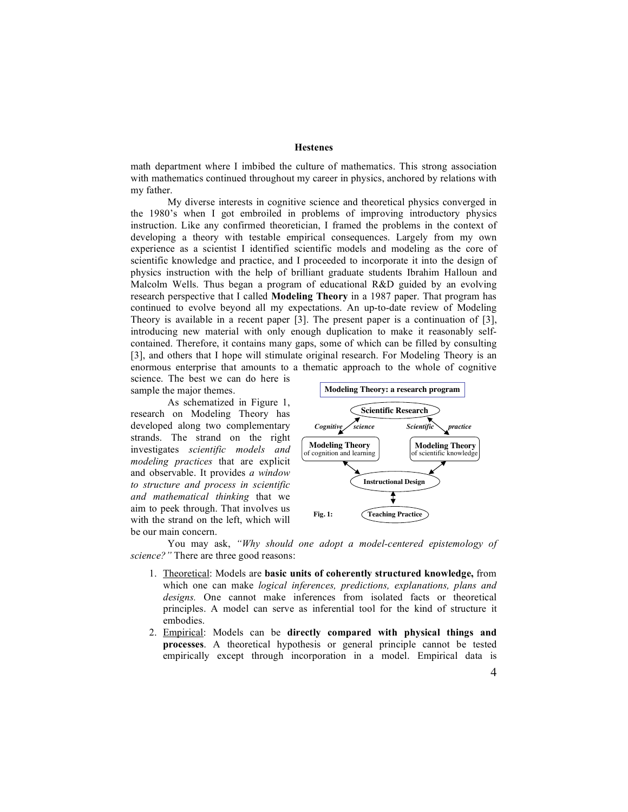math department where I imbibed the culture of mathematics. This strong association with mathematics continued throughout my career in physics, anchored by relations with my father.

My diverse interests in cognitive science and theoretical physics converged in the 1980's when I got embroiled in problems of improving introductory physics instruction. Like any confirmed theoretician, I framed the problems in the context of developing a theory with testable empirical consequences. Largely from my own experience as a scientist I identified scientific models and modeling as the core of scientific knowledge and practice, and I proceeded to incorporate it into the design of physics instruction with the help of brilliant graduate students Ibrahim Halloun and Malcolm Wells. Thus began a program of educational R&D guided by an evolving research perspective that I called **Modeling Theory** in a 1987 paper. That program has continued to evolve beyond all my expectations. An up-to-date review of Modeling Theory is available in a recent paper [3]. The present paper is a continuation of [3], introducing new material with only enough duplication to make it reasonably selfcontained. Therefore, it contains many gaps, some of which can be filled by consulting [3], and others that I hope will stimulate original research. For Modeling Theory is an enormous enterprise that amounts to a thematic approach to the whole of cognitive

science. The best we can do here is sample the major themes.

As schematized in Figure 1, research on Modeling Theory has developed along two complementary strands. The strand on the right investigates *scientific models and modeling practices* that are explicit and observable. It provides *a window to structure and process in scientific and mathematical thinking* that we aim to peek through. That involves us with the strand on the left, which will be our main concern.



You may ask, *"Why should one adopt a model-centered epistemology of science?"* There are three good reasons:

- 1. Theoretical: Models are **basic units of coherently structured knowledge,** from which one can make *logical inferences, predictions, explanations, plans and designs.* One cannot make inferences from isolated facts or theoretical principles. A model can serve as inferential tool for the kind of structure it embodies.
- 2. Empirical: Models can be **directly compared with physical things and processes**. A theoretical hypothesis or general principle cannot be tested empirically except through incorporation in a model. Empirical data is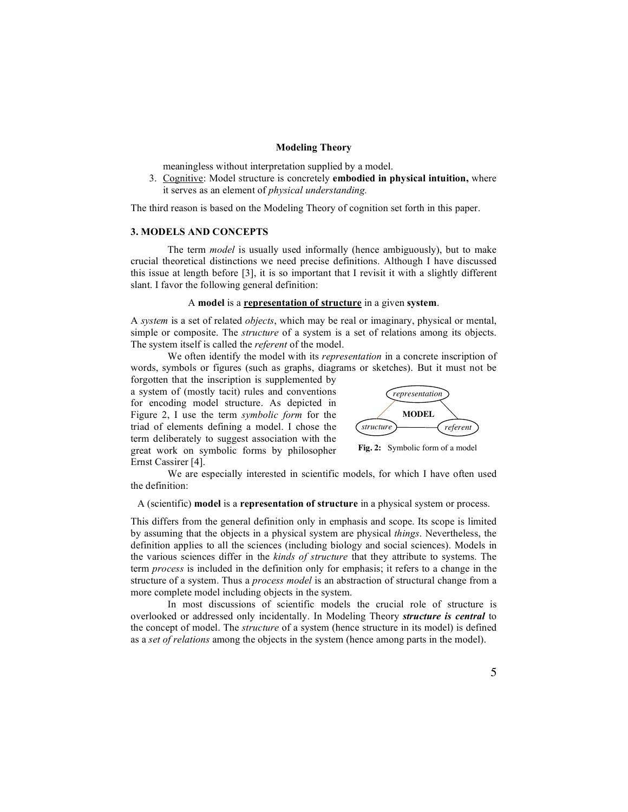meaningless without interpretation supplied by a model.

3. Cognitive: Model structure is concretely **embodied in physical intuition,** where it serves as an element of *physical understanding.*

The third reason is based on the Modeling Theory of cognition set forth in this paper.

#### **3. MODELS AND CONCEPTS**

The term *model* is usually used informally (hence ambiguously), but to make crucial theoretical distinctions we need precise definitions. Although I have discussed this issue at length before [3], it is so important that I revisit it with a slightly different slant. I favor the following general definition:

#### A **model** is a **representation of structure** in a given **system**.

A *system* is a set of related *objects*, which may be real or imaginary, physical or mental, simple or composite. The *structure* of a system is a set of relations among its objects. The system itself is called the *referent* of the model.

We often identify the model with its *representation* in a concrete inscription of words, symbols or figures (such as graphs, diagrams or sketches). But it must not be

forgotten that the inscription is supplemented by a system of (mostly tacit) rules and conventions for encoding model structure. As depicted in Figure 2, I use the term *symbolic form* for the triad of elements defining a model. I chose the term deliberately to suggest association with the great work on symbolic forms by philosopher Ernst Cassirer [4].



**Fig. 2:** Symbolic form of a model

We are especially interested in scientific models, for which I have often used the definition:

A (scientific) **model** is a **representation of structure** in a physical system or process.

This differs from the general definition only in emphasis and scope. Its scope is limited by assuming that the objects in a physical system are physical *things*. Nevertheless, the definition applies to all the sciences (including biology and social sciences). Models in the various sciences differ in the *kinds of structure* that they attribute to systems. The term *process* is included in the definition only for emphasis; it refers to a change in the structure of a system. Thus a *process model* is an abstraction of structural change from a more complete model including objects in the system.

In most discussions of scientific models the crucial role of structure is overlooked or addressed only incidentally. In Modeling Theory *structure is central* to the concept of model. The *structure* of a system (hence structure in its model) is defined as a *set of relations* among the objects in the system (hence among parts in the model).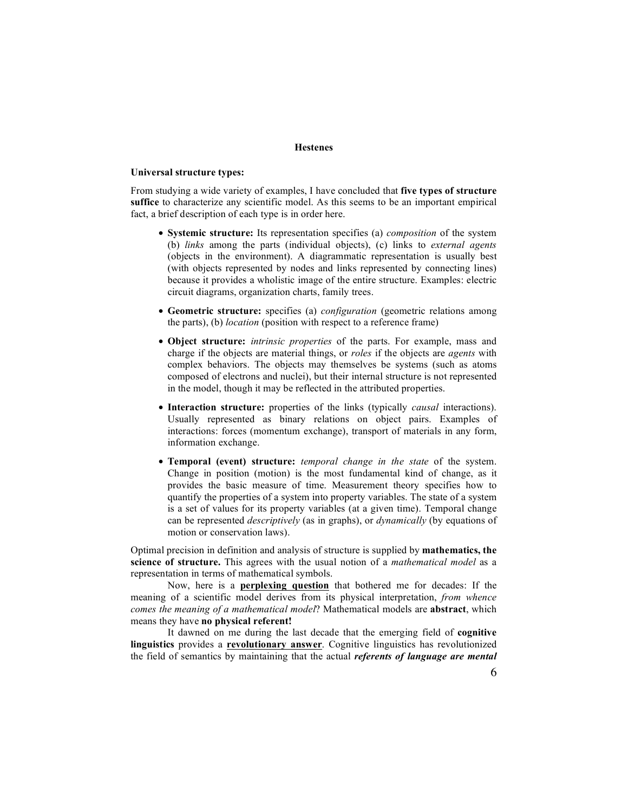#### **Universal structure types:**

From studying a wide variety of examples, I have concluded that **five types of structure suffice** to characterize any scientific model. As this seems to be an important empirical fact, a brief description of each type is in order here.

- **Systemic structure:** Its representation specifies (a) *composition* of the system (b) *links* among the parts (individual objects), (c) links to *external agents* (objects in the environment). A diagrammatic representation is usually best (with objects represented by nodes and links represented by connecting lines) because it provides a wholistic image of the entire structure. Examples: electric circuit diagrams, organization charts, family trees.
- **Geometric structure:** specifies (a) *configuration* (geometric relations among the parts), (b) *location* (position with respect to a reference frame)
- **Object structure:** *intrinsic properties* of the parts. For example, mass and charge if the objects are material things, or *roles* if the objects are *agents* with complex behaviors. The objects may themselves be systems (such as atoms composed of electrons and nuclei), but their internal structure is not represented in the model, though it may be reflected in the attributed properties.
- **Interaction structure:** properties of the links (typically *causal* interactions). Usually represented as binary relations on object pairs. Examples of interactions: forces (momentum exchange), transport of materials in any form, information exchange.
- **Temporal (event) structure:** *temporal change in the state* of the system. Change in position (motion) is the most fundamental kind of change, as it provides the basic measure of time. Measurement theory specifies how to quantify the properties of a system into property variables. The state of a system is a set of values for its property variables (at a given time). Temporal change can be represented *descriptively* (as in graphs), or *dynamically* (by equations of motion or conservation laws).

Optimal precision in definition and analysis of structure is supplied by **mathematics, the science of structure.** This agrees with the usual notion of a *mathematical model* as a representation in terms of mathematical symbols.

Now, here is a **perplexing question** that bothered me for decades: If the meaning of a scientific model derives from its physical interpretation, *from whence comes the meaning of a mathematical model*? Mathematical models are **abstract**, which means they have **no physical referent!** 

It dawned on me during the last decade that the emerging field of **cognitive linguistics** provides a **revolutionary answer**. Cognitive linguistics has revolutionized the field of semantics by maintaining that the actual *referents of language are mental*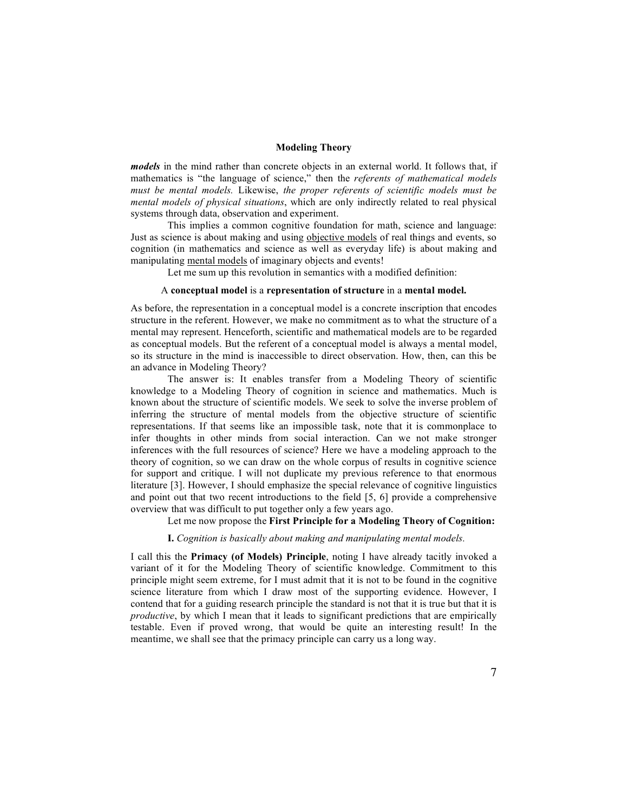*models* in the mind rather than concrete objects in an external world. It follows that, if mathematics is "the language of science," then the *referents of mathematical models must be mental models.* Likewise, *the proper referents of scientific models must be mental models of physical situations*, which are only indirectly related to real physical systems through data, observation and experiment.

This implies a common cognitive foundation for math, science and language: Just as science is about making and using objective models of real things and events, so cognition (in mathematics and science as well as everyday life) is about making and manipulating mental models of imaginary objects and events!

Let me sum up this revolution in semantics with a modified definition:

#### A **conceptual model** is a **representation of structure** in a **mental model.**

As before, the representation in a conceptual model is a concrete inscription that encodes structure in the referent. However, we make no commitment as to what the structure of a mental may represent. Henceforth, scientific and mathematical models are to be regarded as conceptual models. But the referent of a conceptual model is always a mental model, so its structure in the mind is inaccessible to direct observation. How, then, can this be an advance in Modeling Theory?

The answer is: It enables transfer from a Modeling Theory of scientific knowledge to a Modeling Theory of cognition in science and mathematics. Much is known about the structure of scientific models. We seek to solve the inverse problem of inferring the structure of mental models from the objective structure of scientific representations. If that seems like an impossible task, note that it is commonplace to infer thoughts in other minds from social interaction. Can we not make stronger inferences with the full resources of science? Here we have a modeling approach to the theory of cognition, so we can draw on the whole corpus of results in cognitive science for support and critique. I will not duplicate my previous reference to that enormous literature [3]. However, I should emphasize the special relevance of cognitive linguistics and point out that two recent introductions to the field [5, 6] provide a comprehensive overview that was difficult to put together only a few years ago.

Let me now propose the **First Principle for a Modeling Theory of Cognition:**

**I.** *Cognition is basically about making and manipulating mental models.*

I call this the **Primacy (of Models) Principle**, noting I have already tacitly invoked a variant of it for the Modeling Theory of scientific knowledge. Commitment to this principle might seem extreme, for I must admit that it is not to be found in the cognitive science literature from which I draw most of the supporting evidence. However, I contend that for a guiding research principle the standard is not that it is true but that it is *productive*, by which I mean that it leads to significant predictions that are empirically testable. Even if proved wrong, that would be quite an interesting result! In the meantime, we shall see that the primacy principle can carry us a long way.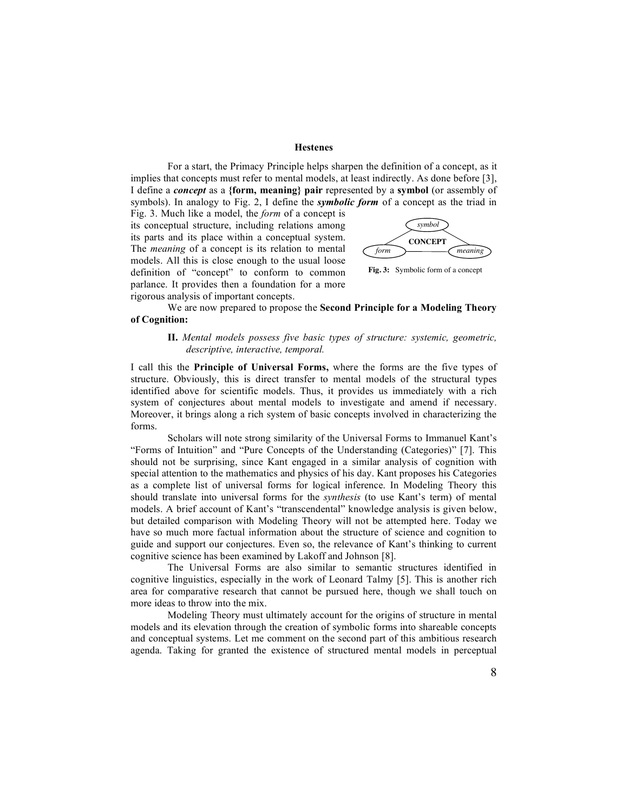For a start, the Primacy Principle helps sharpen the definition of a concept, as it implies that concepts must refer to mental models, at least indirectly. As done before [3], I define a *concept* as a **{form, meaning} pair** represented by a **symbol** (or assembly of symbols). In analogy to Fig. 2, I define the *symbolic form* of a concept as the triad in

Fig. 3. Much like a model, the *form* of a concept is its conceptual structure, including relations among its parts and its place within a conceptual system. The *meaning* of a concept is its relation to mental models. All this is close enough to the usual loose definition of "concept" to conform to common parlance. It provides then a foundation for a more rigorous analysis of important concepts.



**Fig. 3:** Symbolic form of a concept

We are now prepared to propose the **Second Principle for a Modeling Theory of Cognition:**

#### **II.** *Mental models possess five basic types of structure: systemic, geometric, descriptive, interactive, temporal.*

I call this the **Principle of Universal Forms,** where the forms are the five types of structure. Obviously, this is direct transfer to mental models of the structural types identified above for scientific models. Thus, it provides us immediately with a rich system of conjectures about mental models to investigate and amend if necessary. Moreover, it brings along a rich system of basic concepts involved in characterizing the forms.

Scholars will note strong similarity of the Universal Forms to Immanuel Kant's "Forms of Intuition" and "Pure Concepts of the Understanding (Categories)" [7]. This should not be surprising, since Kant engaged in a similar analysis of cognition with special attention to the mathematics and physics of his day. Kant proposes his Categories as a complete list of universal forms for logical inference. In Modeling Theory this should translate into universal forms for the *synthesis* (to use Kant's term) of mental models. A brief account of Kant's "transcendental" knowledge analysis is given below, but detailed comparison with Modeling Theory will not be attempted here. Today we have so much more factual information about the structure of science and cognition to guide and support our conjectures. Even so, the relevance of Kant's thinking to current cognitive science has been examined by Lakoff and Johnson [8].

The Universal Forms are also similar to semantic structures identified in cognitive linguistics, especially in the work of Leonard Talmy [5]. This is another rich area for comparative research that cannot be pursued here, though we shall touch on more ideas to throw into the mix.

Modeling Theory must ultimately account for the origins of structure in mental models and its elevation through the creation of symbolic forms into shareable concepts and conceptual systems. Let me comment on the second part of this ambitious research agenda. Taking for granted the existence of structured mental models in perceptual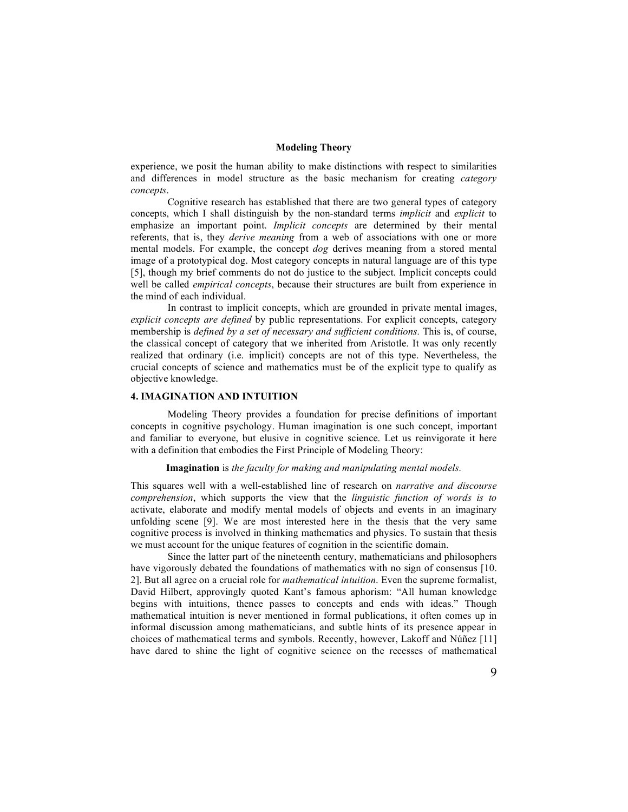experience, we posit the human ability to make distinctions with respect to similarities and differences in model structure as the basic mechanism for creating *category concepts*.

Cognitive research has established that there are two general types of category concepts, which I shall distinguish by the non-standard terms *implicit* and *explicit* to emphasize an important point. *Implicit concepts* are determined by their mental referents, that is, they *derive meaning* from a web of associations with one or more mental models. For example, the concept *dog* derives meaning from a stored mental image of a prototypical dog. Most category concepts in natural language are of this type [5], though my brief comments do not do justice to the subject. Implicit concepts could well be called *empirical concepts*, because their structures are built from experience in the mind of each individual.

In contrast to implicit concepts, which are grounded in private mental images, *explicit concepts are defined* by public representations. For explicit concepts, category membership is *defined by a set of necessary and sufficient conditions.* This is, of course, the classical concept of category that we inherited from Aristotle. It was only recently realized that ordinary (i.e. implicit) concepts are not of this type. Nevertheless, the crucial concepts of science and mathematics must be of the explicit type to qualify as objective knowledge.

#### **4. IMAGINATION AND INTUITION**

Modeling Theory provides a foundation for precise definitions of important concepts in cognitive psychology. Human imagination is one such concept, important and familiar to everyone, but elusive in cognitive science. Let us reinvigorate it here with a definition that embodies the First Principle of Modeling Theory:

#### **Imagination** is *the faculty for making and manipulating mental models.*

This squares well with a well-established line of research on *narrative and discourse comprehension*, which supports the view that the *linguistic function of words is to* activate, elaborate and modify mental models of objects and events in an imaginary unfolding scene [9]. We are most interested here in the thesis that the very same cognitive process is involved in thinking mathematics and physics. To sustain that thesis we must account for the unique features of cognition in the scientific domain.

Since the latter part of the nineteenth century, mathematicians and philosophers have vigorously debated the foundations of mathematics with no sign of consensus [10.] 2]. But all agree on a crucial role for *mathematical intuition*. Even the supreme formalist, David Hilbert, approvingly quoted Kant's famous aphorism: "All human knowledge begins with intuitions, thence passes to concepts and ends with ideas." Though mathematical intuition is never mentioned in formal publications, it often comes up in informal discussion among mathematicians, and subtle hints of its presence appear in choices of mathematical terms and symbols. Recently, however, Lakoff and Núñez [11] have dared to shine the light of cognitive science on the recesses of mathematical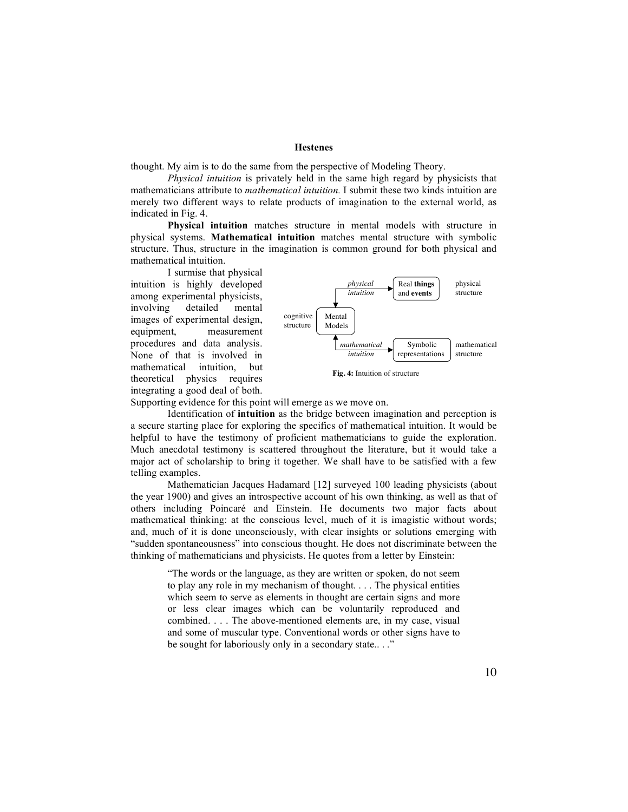thought. My aim is to do the same from the perspective of Modeling Theory.

*Physical intuition* is privately held in the same high regard by physicists that mathematicians attribute to *mathematical intuition.* I submit these two kinds intuition are merely two different ways to relate products of imagination to the external world, as indicated in Fig. 4.

**Physical intuition** matches structure in mental models with structure in physical systems. **Mathematical intuition** matches mental structure with symbolic structure. Thus, structure in the imagination is common ground for both physical and mathematical intuition.

I surmise that physical intuition is highly developed among experimental physicists, involving detailed mental images of experimental design, equipment, measurement procedures and data analysis. None of that is involved in mathematical intuition, but theoretical physics requires integrating a good deal of both.





Supporting evidence for this point will emerge as we move on.

Identification of **intuition** as the bridge between imagination and perception is a secure starting place for exploring the specifics of mathematical intuition. It would be helpful to have the testimony of proficient mathematicians to guide the exploration. Much anecdotal testimony is scattered throughout the literature, but it would take a major act of scholarship to bring it together. We shall have to be satisfied with a few telling examples.

Mathematician Jacques Hadamard [12] surveyed 100 leading physicists (about the year 1900) and gives an introspective account of his own thinking, as well as that of others including Poincaré and Einstein. He documents two major facts about mathematical thinking: at the conscious level, much of it is imagistic without words; and, much of it is done unconsciously, with clear insights or solutions emerging with "sudden spontaneousness" into conscious thought. He does not discriminate between the thinking of mathematicians and physicists. He quotes from a letter by Einstein:

> "The words or the language, as they are written or spoken, do not seem to play any role in my mechanism of thought. . . . The physical entities which seem to serve as elements in thought are certain signs and more or less clear images which can be voluntarily reproduced and combined. . . . The above-mentioned elements are, in my case, visual and some of muscular type. Conventional words or other signs have to be sought for laboriously only in a secondary state...."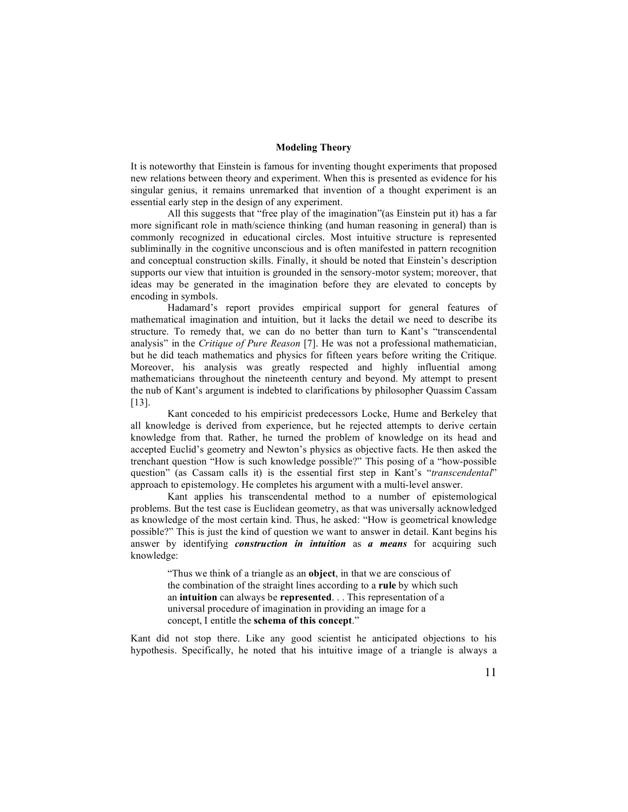It is noteworthy that Einstein is famous for inventing thought experiments that proposed new relations between theory and experiment. When this is presented as evidence for his singular genius, it remains unremarked that invention of a thought experiment is an essential early step in the design of any experiment.

All this suggests that "free play of the imagination"(as Einstein put it) has a far more significant role in math/science thinking (and human reasoning in general) than is commonly recognized in educational circles. Most intuitive structure is represented subliminally in the cognitive unconscious and is often manifested in pattern recognition and conceptual construction skills. Finally, it should be noted that Einstein's description supports our view that intuition is grounded in the sensory-motor system; moreover, that ideas may be generated in the imagination before they are elevated to concepts by encoding in symbols.

Hadamard's report provides empirical support for general features of mathematical imagination and intuition, but it lacks the detail we need to describe its structure. To remedy that, we can do no better than turn to Kant's "transcendental analysis" in the *Critique of Pure Reason* [7]. He was not a professional mathematician, but he did teach mathematics and physics for fifteen years before writing the Critique. Moreover, his analysis was greatly respected and highly influential among mathematicians throughout the nineteenth century and beyond. My attempt to present the nub of Kant's argument is indebted to clarifications by philosopher Quassim Cassam [13].

Kant conceded to his empiricist predecessors Locke, Hume and Berkeley that all knowledge is derived from experience, but he rejected attempts to derive certain knowledge from that. Rather, he turned the problem of knowledge on its head and accepted Euclid's geometry and Newton's physics as objective facts. He then asked the trenchant question "How is such knowledge possible?" This posing of a "how-possible question" (as Cassam calls it) is the essential first step in Kant's "*transcendental*" approach to epistemology. He completes his argument with a multi-level answer.

Kant applies his transcendental method to a number of epistemological problems. But the test case is Euclidean geometry, as that was universally acknowledged as knowledge of the most certain kind. Thus, he asked: "How is geometrical knowledge possible?" This is just the kind of question we want to answer in detail. Kant begins his answer by identifying *construction in intuition* as *a means* for acquiring such knowledge:

> "Thus we think of a triangle as an **object**, in that we are conscious of the combination of the straight lines according to a **rule** by which such an **intuition** can always be **represented**. . . This representation of a universal procedure of imagination in providing an image for a concept, I entitle the **schema of this concept**."

Kant did not stop there. Like any good scientist he anticipated objections to his hypothesis. Specifically, he noted that his intuitive image of a triangle is always a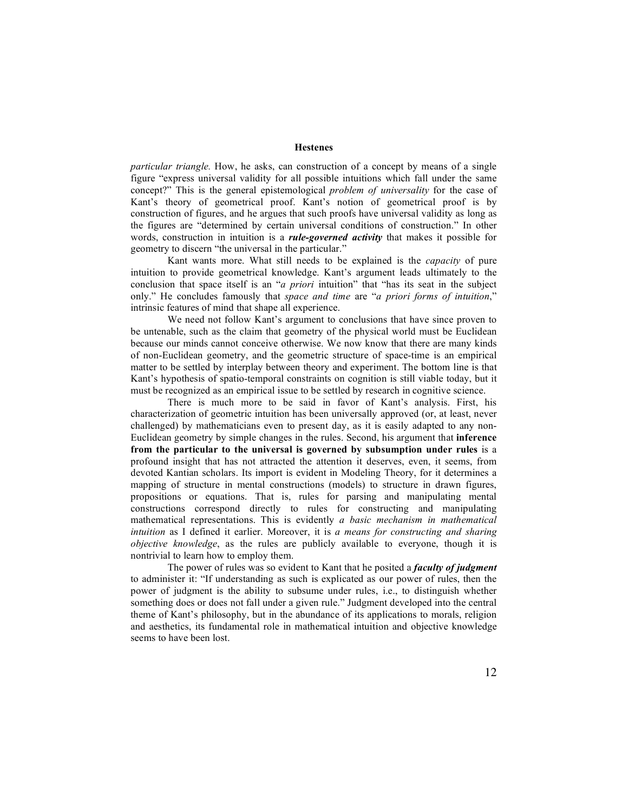*particular triangle.* How, he asks, can construction of a concept by means of a single figure "express universal validity for all possible intuitions which fall under the same concept?" This is the general epistemological *problem of universality* for the case of Kant's theory of geometrical proof. Kant's notion of geometrical proof is by construction of figures, and he argues that such proofs have universal validity as long as the figures are "determined by certain universal conditions of construction." In other words, construction in intuition is a *rule-governed activity* that makes it possible for geometry to discern "the universal in the particular."

Kant wants more. What still needs to be explained is the *capacity* of pure intuition to provide geometrical knowledge. Kant's argument leads ultimately to the conclusion that space itself is an "*a priori* intuition" that "has its seat in the subject only." He concludes famously that *space and time* are "*a priori forms of intuition*," intrinsic features of mind that shape all experience.

We need not follow Kant's argument to conclusions that have since proven to be untenable, such as the claim that geometry of the physical world must be Euclidean because our minds cannot conceive otherwise. We now know that there are many kinds of non-Euclidean geometry, and the geometric structure of space-time is an empirical matter to be settled by interplay between theory and experiment. The bottom line is that Kant's hypothesis of spatio-temporal constraints on cognition is still viable today, but it must be recognized as an empirical issue to be settled by research in cognitive science.

There is much more to be said in favor of Kant's analysis. First, his characterization of geometric intuition has been universally approved (or, at least, never challenged) by mathematicians even to present day, as it is easily adapted to any non-Euclidean geometry by simple changes in the rules. Second, his argument that **inference from the particular to the universal is governed by subsumption under rules** is a profound insight that has not attracted the attention it deserves, even, it seems, from devoted Kantian scholars. Its import is evident in Modeling Theory, for it determines a mapping of structure in mental constructions (models) to structure in drawn figures, propositions or equations. That is, rules for parsing and manipulating mental constructions correspond directly to rules for constructing and manipulating mathematical representations. This is evidently *a basic mechanism in mathematical intuition* as I defined it earlier. Moreover, it is *a means for constructing and sharing objective knowledge*, as the rules are publicly available to everyone, though it is nontrivial to learn how to employ them.

The power of rules was so evident to Kant that he posited a *faculty of judgment* to administer it: "If understanding as such is explicated as our power of rules, then the power of judgment is the ability to subsume under rules, i.e., to distinguish whether something does or does not fall under a given rule." Judgment developed into the central theme of Kant's philosophy, but in the abundance of its applications to morals, religion and aesthetics, its fundamental role in mathematical intuition and objective knowledge seems to have been lost.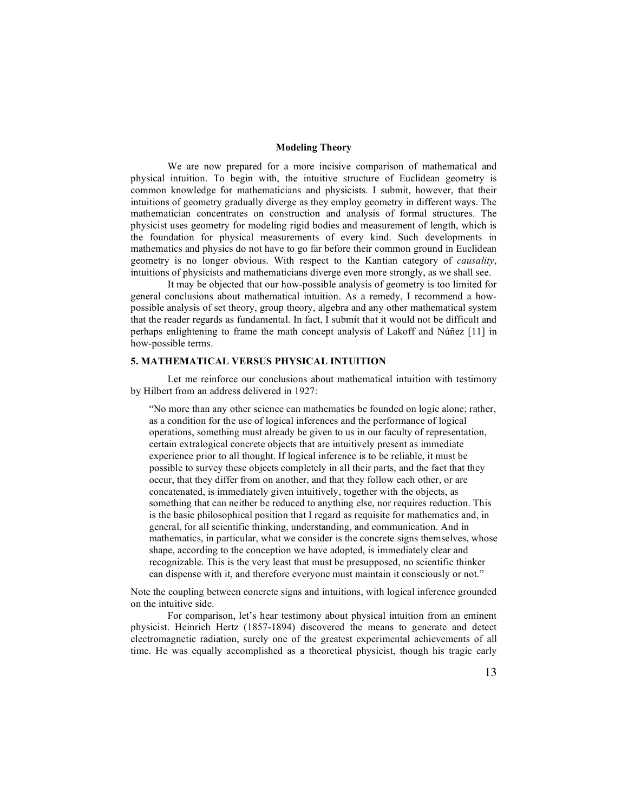We are now prepared for a more incisive comparison of mathematical and physical intuition. To begin with, the intuitive structure of Euclidean geometry is common knowledge for mathematicians and physicists. I submit, however, that their intuitions of geometry gradually diverge as they employ geometry in different ways. The mathematician concentrates on construction and analysis of formal structures. The physicist uses geometry for modeling rigid bodies and measurement of length, which is the foundation for physical measurements of every kind. Such developments in mathematics and physics do not have to go far before their common ground in Euclidean geometry is no longer obvious. With respect to the Kantian category of *causality*, intuitions of physicists and mathematicians diverge even more strongly, as we shall see.

It may be objected that our how-possible analysis of geometry is too limited for general conclusions about mathematical intuition. As a remedy, I recommend a howpossible analysis of set theory, group theory, algebra and any other mathematical system that the reader regards as fundamental. In fact, I submit that it would not be difficult and perhaps enlightening to frame the math concept analysis of Lakoff and Núñez [11] in how-possible terms.

# **5. MATHEMATICAL VERSUS PHYSICAL INTUITION**

Let me reinforce our conclusions about mathematical intuition with testimony by Hilbert from an address delivered in 1927:

"No more than any other science can mathematics be founded on logic alone; rather, as a condition for the use of logical inferences and the performance of logical operations, something must already be given to us in our faculty of representation, certain extralogical concrete objects that are intuitively present as immediate experience prior to all thought. If logical inference is to be reliable, it must be possible to survey these objects completely in all their parts, and the fact that they occur, that they differ from on another, and that they follow each other, or are concatenated, is immediately given intuitively, together with the objects, as something that can neither be reduced to anything else, nor requires reduction. This is the basic philosophical position that I regard as requisite for mathematics and, in general, for all scientific thinking, understanding, and communication. And in mathematics, in particular, what we consider is the concrete signs themselves, whose shape, according to the conception we have adopted, is immediately clear and recognizable. This is the very least that must be presupposed, no scientific thinker can dispense with it, and therefore everyone must maintain it consciously or not."

Note the coupling between concrete signs and intuitions, with logical inference grounded on the intuitive side.

For comparison, let's hear testimony about physical intuition from an eminent physicist. Heinrich Hertz (1857-1894) discovered the means to generate and detect electromagnetic radiation, surely one of the greatest experimental achievements of all time. He was equally accomplished as a theoretical physicist, though his tragic early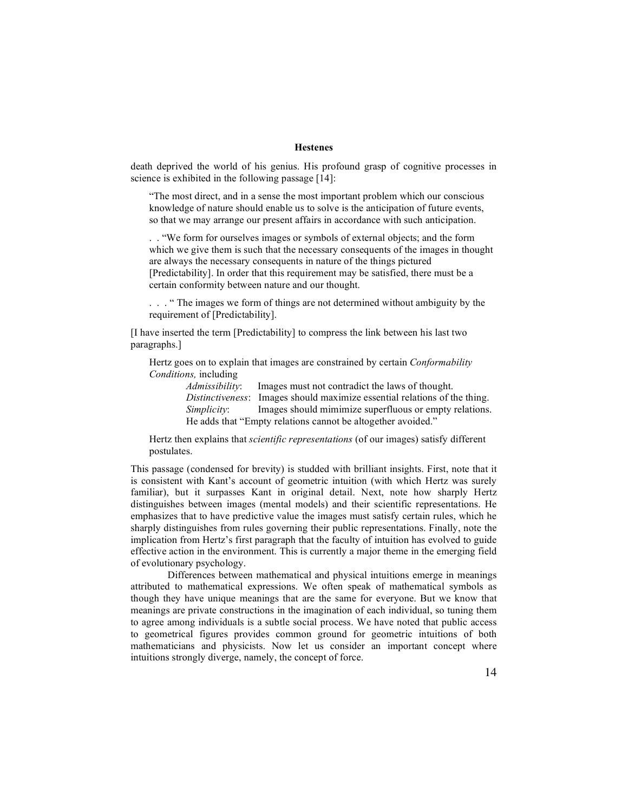death deprived the world of his genius. His profound grasp of cognitive processes in science is exhibited in the following passage [14]:

"The most direct, and in a sense the most important problem which our conscious knowledge of nature should enable us to solve is the anticipation of future events, so that we may arrange our present affairs in accordance with such anticipation.

. . "We form for ourselves images or symbols of external objects; and the form which we give them is such that the necessary consequents of the images in thought are always the necessary consequents in nature of the things pictured [Predictability]. In order that this requirement may be satisfied, there must be a certain conformity between nature and our thought.

. . . " The images we form of things are not determined without ambiguity by the requirement of [Predictability].

[I have inserted the term [Predictability] to compress the link between his last two paragraphs.]

Hertz goes on to explain that images are constrained by certain *Conformability Conditions,* including

> *Admissibility*: Images must not contradict the laws of thought. *Distinctiveness*: Images should maximize essential relations of the thing. *Simplicity*: Images should mimimize superfluous or empty relations. He adds that "Empty relations cannot be altogether avoided."

Hertz then explains that *scientific representations* (of our images) satisfy different postulates.

This passage (condensed for brevity) is studded with brilliant insights. First, note that it is consistent with Kant's account of geometric intuition (with which Hertz was surely familiar), but it surpasses Kant in original detail. Next, note how sharply Hertz distinguishes between images (mental models) and their scientific representations. He emphasizes that to have predictive value the images must satisfy certain rules, which he sharply distinguishes from rules governing their public representations. Finally, note the implication from Hertz's first paragraph that the faculty of intuition has evolved to guide effective action in the environment. This is currently a major theme in the emerging field of evolutionary psychology.

Differences between mathematical and physical intuitions emerge in meanings attributed to mathematical expressions. We often speak of mathematical symbols as though they have unique meanings that are the same for everyone. But we know that meanings are private constructions in the imagination of each individual, so tuning them to agree among individuals is a subtle social process. We have noted that public access to geometrical figures provides common ground for geometric intuitions of both mathematicians and physicists. Now let us consider an important concept where intuitions strongly diverge, namely, the concept of force.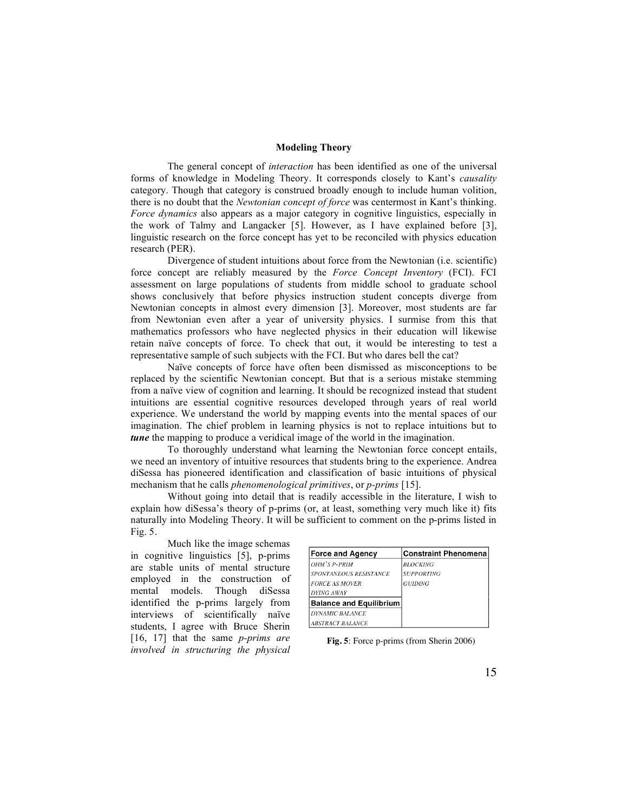The general concept of *interaction* has been identified as one of the universal forms of knowledge in Modeling Theory. It corresponds closely to Kant's *causality* category. Though that category is construed broadly enough to include human volition, there is no doubt that the *Newtonian concept of force* was centermost in Kant's thinking. *Force dynamics* also appears as a major category in cognitive linguistics, especially in the work of Talmy and Langacker [5]. However, as I have explained before [3], linguistic research on the force concept has yet to be reconciled with physics education research (PER).

Divergence of student intuitions about force from the Newtonian (i.e. scientific) force concept are reliably measured by the *Force Concept Inventory* (FCI). FCI assessment on large populations of students from middle school to graduate school shows conclusively that before physics instruction student concepts diverge from Newtonian concepts in almost every dimension [3]. Moreover, most students are far from Newtonian even after a year of university physics. I surmise from this that mathematics professors who have neglected physics in their education will likewise retain naïve concepts of force. To check that out, it would be interesting to test a representative sample of such subjects with the FCI. But who dares bell the cat?

Naïve concepts of force have often been dismissed as misconceptions to be replaced by the scientific Newtonian concept. But that is a serious mistake stemming from a naïve view of cognition and learning. It should be recognized instead that student intuitions are essential cognitive resources developed through years of real world experience. We understand the world by mapping events into the mental spaces of our imagination. The chief problem in learning physics is not to replace intuitions but to *tune* the mapping to produce a veridical image of the world in the imagination.

To thoroughly understand what learning the Newtonian force concept entails, we need an inventory of intuitive resources that students bring to the experience. Andrea diSessa has pioneered identification and classification of basic intuitions of physical mechanism that he calls *phenomenological primitives*, or *p-prims* [15].

Without going into detail that is readily accessible in the literature, I wish to explain how diSessa's theory of p-prims (or, at least, something very much like it) fits naturally into Modeling Theory. It will be sufficient to comment on the p-prims listed in Fig. 5.

Much like the image schemas in cognitive linguistics [5], p-prims are stable units of mental structure employed in the construction of mental models. Though diSessa identified the p-prims largely from interviews of scientifically naïve students, I agree with Bruce Sherin [16, 17] that the same *p-prims are involved in structuring the physical* 

| <b>Force and Agency</b>        | <b>Constraint Phenomena</b> |
|--------------------------------|-----------------------------|
| OHM'S P-PRIM                   | <b>BLOCKING</b>             |
| <b>SPONTANEOUS RESISTANCE</b>  | <b>SUPPORTING</b>           |
| <b>FORCE AS MOVER</b>          | <b>GUIDING</b>              |
| <b>DYING AWAY</b>              |                             |
| <b>Balance and Equilibrium</b> |                             |
| <b>DYNAMIC BALANCE</b>         |                             |
| <b>ABSTRACT BALANCE</b>        |                             |

**Fig. 5**: Force p-prims (from Sherin 2006)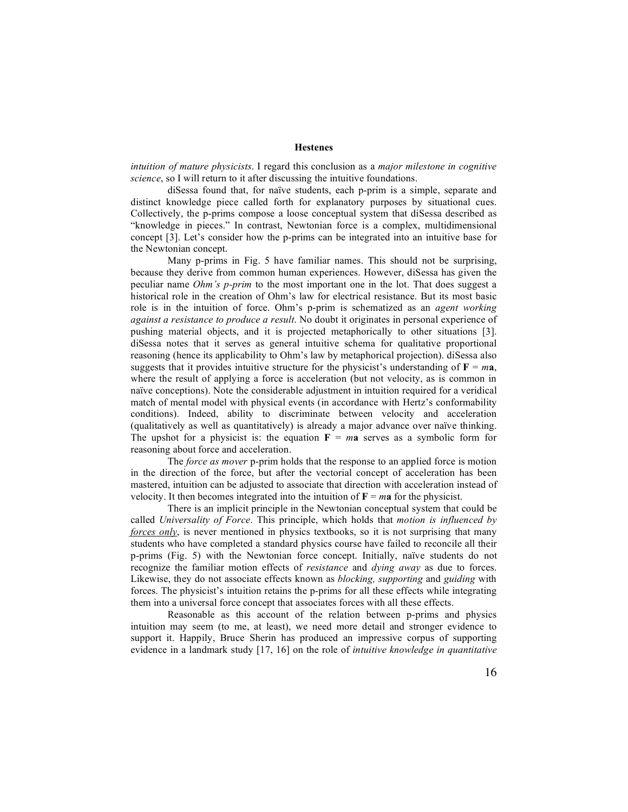*intuition of mature physicists*. I regard this conclusion as a *major milestone in cognitive science*, so I will return to it after discussing the intuitive foundations.

diSessa found that, for naïve students, each p-prim is a simple, separate and distinct knowledge piece called forth for explanatory purposes by situational cues. Collectively, the p-prims compose a loose conceptual system that diSessa described as "knowledge in pieces." In contrast, Newtonian force is a complex, multidimensional concept [3]. Let's consider how the p-prims can be integrated into an intuitive base for the Newtonian concept.

Many p-prims in Fig. 5 have familiar names. This should not be surprising, because they derive from common human experiences. However, diSessa has given the peculiar name *Ohm's p-prim* to the most important one in the lot. That does suggest a historical role in the creation of Ohm's law for electrical resistance. But its most basic role is in the intuition of force. Ohm's p-prim is schematized as an *agent working against a resistance to produce a result*. No doubt it originates in personal experience of pushing material objects, and it is projected metaphorically to other situations [3]. diSessa notes that it serves as general intuitive schema for qualitative proportional reasoning (hence its applicability to Ohm's law by metaphorical projection). diSessa also suggests that it provides intuitive structure for the physicist's understanding of  $\mathbf{F} = m\mathbf{a}$ , where the result of applying a force is acceleration (but not velocity, as is common in naïve conceptions). Note the considerable adjustment in intuition required for a veridical match of mental model with physical events (in accordance with Hertz's conformability conditions). Indeed, ability to discriminate between velocity and acceleration (qualitatively as well as quantitatively) is already a major advance over naïve thinking. The upshot for a physicist is: the equation  $\mathbf{F} = m\mathbf{a}$  serves as a symbolic form for reasoning about force and acceleration.

The *force as mover* p-prim holds that the response to an applied force is motion in the direction of the force, but after the vectorial concept of acceleration has been mastered, intuition can be adjusted to associate that direction with acceleration instead of velocity. It then becomes integrated into the intuition of  $\mathbf{F} = m\mathbf{a}$  for the physicist.

There is an implicit principle in the Newtonian conceptual system that could be called *Universality of Force*. This principle, which holds that *motion is influenced by forces only*, is never mentioned in physics textbooks, so it is not surprising that many students who have completed a standard physics course have failed to reconcile all their p-prims (Fig. 5) with the Newtonian force concept. Initially, naïve students do not recognize the familiar motion effects of *resistance* and *dying away* as due to forces. Likewise, they do not associate effects known as *blocking, supporting* and *guiding* with forces. The physicist's intuition retains the p-prims for all these effects while integrating them into a universal force concept that associates forces with all these effects.

Reasonable as this account of the relation between p-prims and physics intuition may seem (to me, at least), we need more detail and stronger evidence to support it. Happily, Bruce Sherin has produced an impressive corpus of supporting evidence in a landmark study [17, 16] on the role of *intuitive knowledge in quantitative*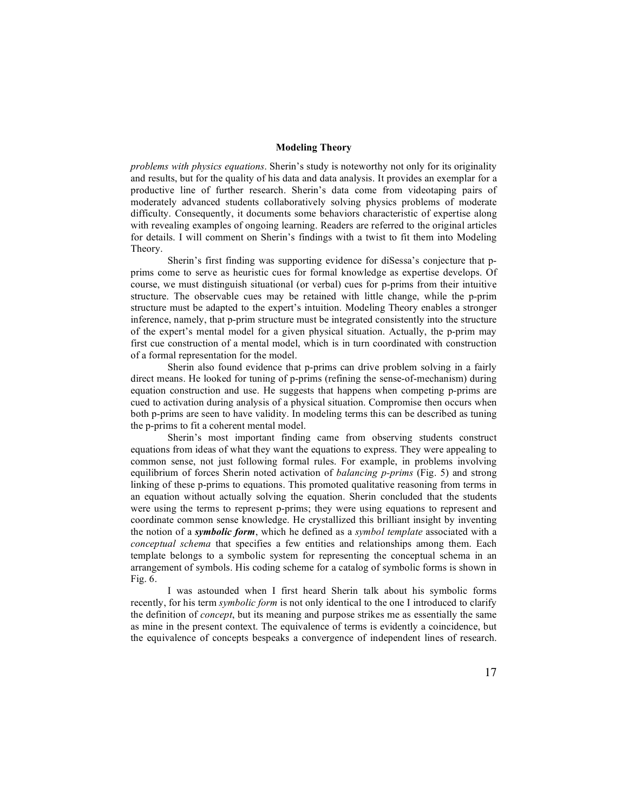*problems with physics equations*. Sherin's study is noteworthy not only for its originality and results, but for the quality of his data and data analysis. It provides an exemplar for a productive line of further research. Sherin's data come from videotaping pairs of moderately advanced students collaboratively solving physics problems of moderate difficulty. Consequently, it documents some behaviors characteristic of expertise along with revealing examples of ongoing learning. Readers are referred to the original articles for details. I will comment on Sherin's findings with a twist to fit them into Modeling Theory.

Sherin's first finding was supporting evidence for diSessa's conjecture that pprims come to serve as heuristic cues for formal knowledge as expertise develops. Of course, we must distinguish situational (or verbal) cues for p-prims from their intuitive structure. The observable cues may be retained with little change, while the p-prim structure must be adapted to the expert's intuition. Modeling Theory enables a stronger inference, namely, that p-prim structure must be integrated consistently into the structure of the expert's mental model for a given physical situation. Actually, the p-prim may first cue construction of a mental model, which is in turn coordinated with construction of a formal representation for the model.

Sherin also found evidence that p-prims can drive problem solving in a fairly direct means. He looked for tuning of p-prims (refining the sense-of-mechanism) during equation construction and use. He suggests that happens when competing p-prims are cued to activation during analysis of a physical situation. Compromise then occurs when both p-prims are seen to have validity. In modeling terms this can be described as tuning the p-prims to fit a coherent mental model.

Sherin's most important finding came from observing students construct equations from ideas of what they want the equations to express. They were appealing to common sense, not just following formal rules. For example, in problems involving equilibrium of forces Sherin noted activation of *balancing p-prims* (Fig. 5) and strong linking of these p-prims to equations. This promoted qualitative reasoning from terms in an equation without actually solving the equation. Sherin concluded that the students were using the terms to represent p-prims; they were using equations to represent and coordinate common sense knowledge. He crystallized this brilliant insight by inventing the notion of a *symbolic form*, which he defined as a *symbol template* associated with a *conceptual schema* that specifies a few entities and relationships among them. Each template belongs to a symbolic system for representing the conceptual schema in an arrangement of symbols. His coding scheme for a catalog of symbolic forms is shown in Fig. 6.

I was astounded when I first heard Sherin talk about his symbolic forms recently, for his term *symbolic form* is not only identical to the one I introduced to clarify the definition of *concept*, but its meaning and purpose strikes me as essentially the same as mine in the present context. The equivalence of terms is evidently a coincidence, but the equivalence of concepts bespeaks a convergence of independent lines of research.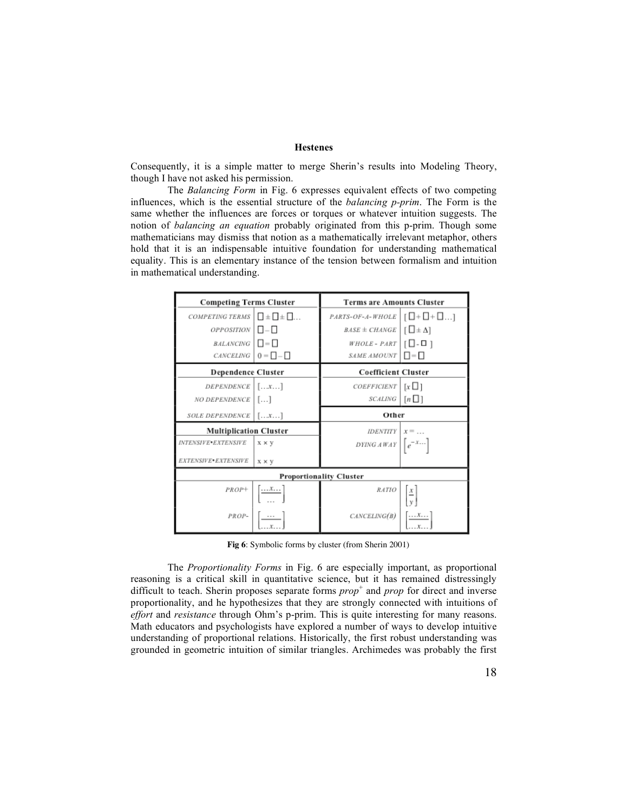Consequently, it is a simple matter to merge Sherin's results into Modeling Theory, though I have not asked his permission.

The *Balancing Form* in Fig. 6 expresses equivalent effects of two competing influences, which is the essential structure of the *balancing p-prim*. The Form is the same whether the influences are forces or torques or whatever intuition suggests. The notion of *balancing an equation* probably originated from this p-prim. Though some mathematicians may dismiss that notion as a mathematically irrelevant metaphor, others hold that it is an indispensable intuitive foundation for understanding mathematical equality. This is an elementary instance of the tension between formalism and intuition in mathematical understanding.

| <b>Competing Terms Cluster</b>                     |                         | <b>Terms are Amounts Cluster</b>                                        |                 |
|----------------------------------------------------|-------------------------|-------------------------------------------------------------------------|-----------------|
| COMPETING TERMS $\Box$ $\pm$ $\Box$ $\pm$ $\Box$ . |                         | PARTS-OF-A-WHOLE $\vert \vert \vert + \vert + \vert \vert \ldots \vert$ |                 |
| $OPPOSITION$ $\Box$                                |                         | $BASE \pm CHANGE$ $\left[\Box \pm \Delta\right]$                        |                 |
| <b>BALANCING</b>                                   | $\Box = \Box$           | $WHOLE-PART$ $\Box$ - $\Box$ ]                                          |                 |
| <b>CANCELING</b>                                   | $0 = \square - \square$ | $SAMEAMOVNT$ $\Box$ =                                                   |                 |
| Dependence Cluster                                 |                         | <b>Coefficient Cluster</b>                                              |                 |
| $DEPENDENCE$ $\vert$ $\ldots$ $x \ldots$ $\rangle$ |                         | <b>COEFFICIENT</b>                                                      | $[x \Box]$      |
| <b>NO DEPENDENCE</b>                               | $\lceil \dots \rceil$   | <b>SCALING</b>                                                          | $[n \Box]$      |
| $SOLE$ DEPENDENCE $ $ $[x]$                        |                         | Other                                                                   |                 |
| <b>Multiplication Cluster</b>                      |                         | <b>IDENTITY</b>                                                         | $x = \ldots$    |
| <b>INTENSIVE EXTENSIVE</b>                         | X X V                   | DYING AWAY $\left[\begin{bmatrix}e^{-x} \cdots\end{bmatrix}\right]$     |                 |
| EXTENSIVE*EXTENSIVE                                | x x y                   |                                                                         |                 |
| <b>Proportionality Cluster</b>                     |                         |                                                                         |                 |
| $PROP+$                                            | $\dots$ $x\dots$        | <b>RATIO</b>                                                            | $\underline{x}$ |
| PROP-                                              |                         | CANCELING(B)                                                            | $\ldots$ $X$    |

**Fig 6**: Symbolic forms by cluster (from Sherin 2001)

The *Proportionality Forms* in Fig. 6 are especially important, as proportional reasoning is a critical skill in quantitative science, but it has remained distressingly difficult to teach. Sherin proposes separate forms *prop*<sup>+</sup> and *prop* for direct and inverse proportionality, and he hypothesizes that they are strongly connected with intuitions of *effort* and *resistance* through Ohm's p-prim. This is quite interesting for many reasons. Math educators and psychologists have explored a number of ways to develop intuitive understanding of proportional relations. Historically, the first robust understanding was grounded in geometric intuition of similar triangles. Archimedes was probably the first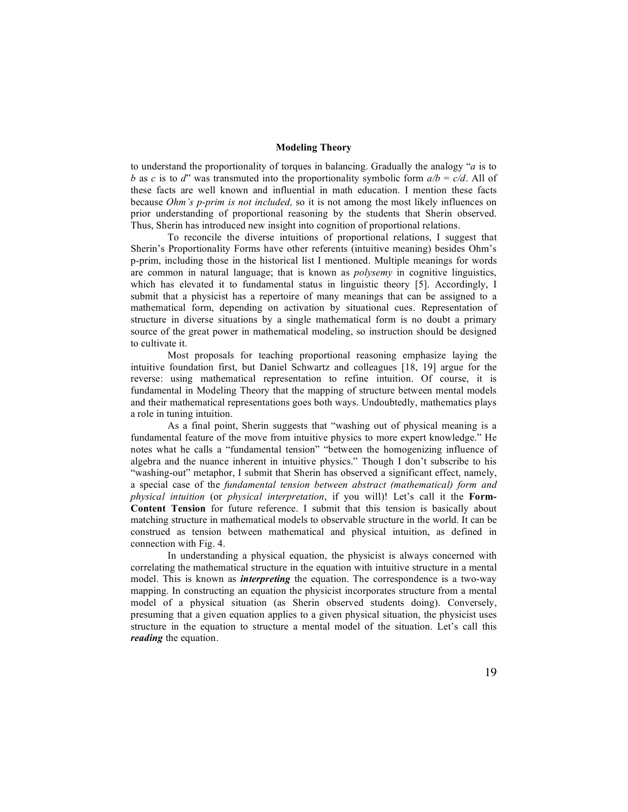to understand the proportionality of torques in balancing. Gradually the analogy "*a* is to *b* as *c* is to *d*" was transmuted into the proportionality symbolic form  $a/b = c/d$ . All of these facts are well known and influential in math education. I mention these facts because *Ohm's p-prim is not included,* so it is not among the most likely influences on prior understanding of proportional reasoning by the students that Sherin observed. Thus, Sherin has introduced new insight into cognition of proportional relations.

To reconcile the diverse intuitions of proportional relations, I suggest that Sherin's Proportionality Forms have other referents (intuitive meaning) besides Ohm's p-prim, including those in the historical list I mentioned. Multiple meanings for words are common in natural language; that is known as *polysemy* in cognitive linguistics, which has elevated it to fundamental status in linguistic theory [5]. Accordingly, I submit that a physicist has a repertoire of many meanings that can be assigned to a mathematical form, depending on activation by situational cues. Representation of structure in diverse situations by a single mathematical form is no doubt a primary source of the great power in mathematical modeling, so instruction should be designed to cultivate it.

Most proposals for teaching proportional reasoning emphasize laying the intuitive foundation first, but Daniel Schwartz and colleagues [18, 19] argue for the reverse: using mathematical representation to refine intuition. Of course, it is fundamental in Modeling Theory that the mapping of structure between mental models and their mathematical representations goes both ways. Undoubtedly, mathematics plays a role in tuning intuition.

As a final point, Sherin suggests that "washing out of physical meaning is a fundamental feature of the move from intuitive physics to more expert knowledge." He notes what he calls a "fundamental tension" "between the homogenizing influence of algebra and the nuance inherent in intuitive physics." Though I don't subscribe to his "washing-out" metaphor, I submit that Sherin has observed a significant effect, namely, a special case of the *fundamental tension between abstract (mathematical) form and physical intuition* (or *physical interpretation*, if you will)! Let's call it the **Form-Content Tension** for future reference. I submit that this tension is basically about matching structure in mathematical models to observable structure in the world. It can be construed as tension between mathematical and physical intuition, as defined in connection with Fig. 4.

In understanding a physical equation, the physicist is always concerned with correlating the mathematical structure in the equation with intuitive structure in a mental model. This is known as *interpreting* the equation. The correspondence is a two-way mapping. In constructing an equation the physicist incorporates structure from a mental model of a physical situation (as Sherin observed students doing). Conversely, presuming that a given equation applies to a given physical situation, the physicist uses structure in the equation to structure a mental model of the situation. Let's call this *reading* the equation.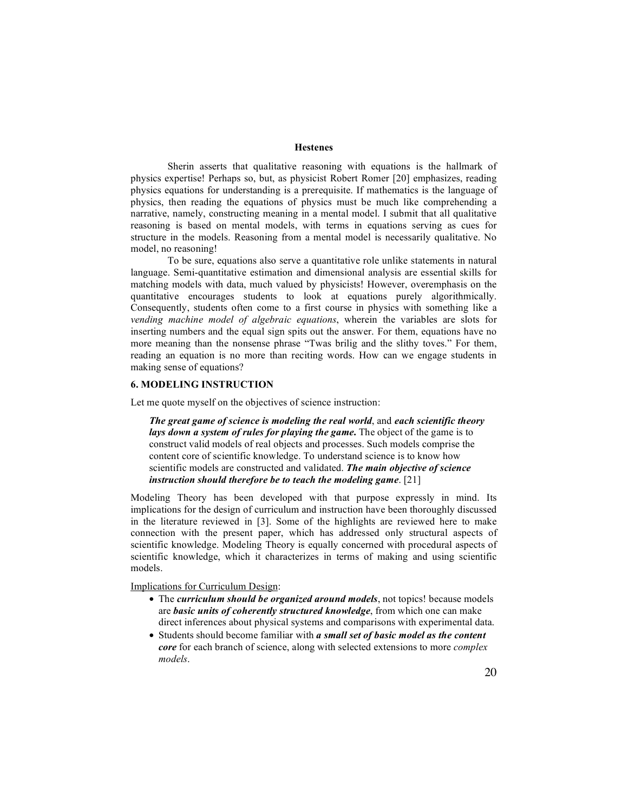Sherin asserts that qualitative reasoning with equations is the hallmark of physics expertise! Perhaps so, but, as physicist Robert Romer [20] emphasizes, reading physics equations for understanding is a prerequisite. If mathematics is the language of physics, then reading the equations of physics must be much like comprehending a narrative, namely, constructing meaning in a mental model. I submit that all qualitative reasoning is based on mental models, with terms in equations serving as cues for structure in the models. Reasoning from a mental model is necessarily qualitative. No model, no reasoning!

To be sure, equations also serve a quantitative role unlike statements in natural language. Semi-quantitative estimation and dimensional analysis are essential skills for matching models with data, much valued by physicists! However, overemphasis on the quantitative encourages students to look at equations purely algorithmically. Consequently, students often come to a first course in physics with something like a *vending machine model of algebraic equations*, wherein the variables are slots for inserting numbers and the equal sign spits out the answer. For them, equations have no more meaning than the nonsense phrase "Twas brilig and the slithy toves." For them, reading an equation is no more than reciting words. How can we engage students in making sense of equations?

# **6. MODELING INSTRUCTION**

Let me quote myself on the objectives of science instruction:

*The great game of science is modeling the real world*, and *each scientific theory lays down a system of rules for playing the game***.** The object of the game is to construct valid models of real objects and processes. Such models comprise the content core of scientific knowledge. To understand science is to know how scientific models are constructed and validated. *The main objective of science instruction should therefore be to teach the modeling game*. [21]

Modeling Theory has been developed with that purpose expressly in mind. Its implications for the design of curriculum and instruction have been thoroughly discussed in the literature reviewed in [3]. Some of the highlights are reviewed here to make connection with the present paper, which has addressed only structural aspects of scientific knowledge. Modeling Theory is equally concerned with procedural aspects of scientific knowledge, which it characterizes in terms of making and using scientific models.

Implications for Curriculum Design:

- The *curriculum should be organized around models*, not topics! because models are *basic units of coherently structured knowledge*, from which one can make direct inferences about physical systems and comparisons with experimental data.
- Students should become familiar with *a small set of basic model as the content core* for each branch of science, along with selected extensions to more *complex models*.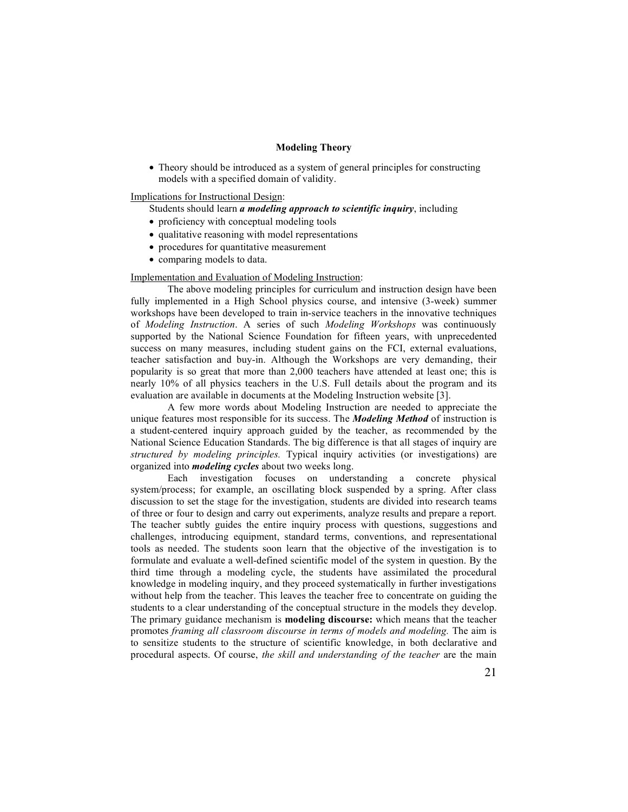• Theory should be introduced as a system of general principles for constructing models with a specified domain of validity.

Implications for Instructional Design:

Students should learn *a modeling approach to scientific inquiry*, including

- proficiency with conceptual modeling tools
- qualitative reasoning with model representations
- procedures for quantitative measurement
- comparing models to data.

Implementation and Evaluation of Modeling Instruction:

The above modeling principles for curriculum and instruction design have been fully implemented in a High School physics course, and intensive (3-week) summer workshops have been developed to train in-service teachers in the innovative techniques of *Modeling Instruction*. A series of such *Modeling Workshops* was continuously supported by the National Science Foundation for fifteen years, with unprecedented success on many measures, including student gains on the FCI, external evaluations, teacher satisfaction and buy-in. Although the Workshops are very demanding, their popularity is so great that more than 2,000 teachers have attended at least one; this is nearly 10% of all physics teachers in the U.S. Full details about the program and its evaluation are available in documents at the Modeling Instruction website [3].

A few more words about Modeling Instruction are needed to appreciate the unique features most responsible for its success. The *Modeling Method* of instruction is a student-centered inquiry approach guided by the teacher, as recommended by the National Science Education Standards. The big difference is that all stages of inquiry are *structured by modeling principles.* Typical inquiry activities (or investigations) are organized into *modeling cycles* about two weeks long.

Each investigation focuses on understanding a concrete physical system/process; for example, an oscillating block suspended by a spring. After class discussion to set the stage for the investigation, students are divided into research teams of three or four to design and carry out experiments, analyze results and prepare a report. The teacher subtly guides the entire inquiry process with questions, suggestions and challenges, introducing equipment, standard terms, conventions, and representational tools as needed. The students soon learn that the objective of the investigation is to formulate and evaluate a well-defined scientific model of the system in question. By the third time through a modeling cycle, the students have assimilated the procedural knowledge in modeling inquiry, and they proceed systematically in further investigations without help from the teacher. This leaves the teacher free to concentrate on guiding the students to a clear understanding of the conceptual structure in the models they develop. The primary guidance mechanism is **modeling discourse:** which means that the teacher promotes *framing all classroom discourse in terms of models and modeling.* The aim is to sensitize students to the structure of scientific knowledge, in both declarative and procedural aspects. Of course, *the skill and understanding of the teacher* are the main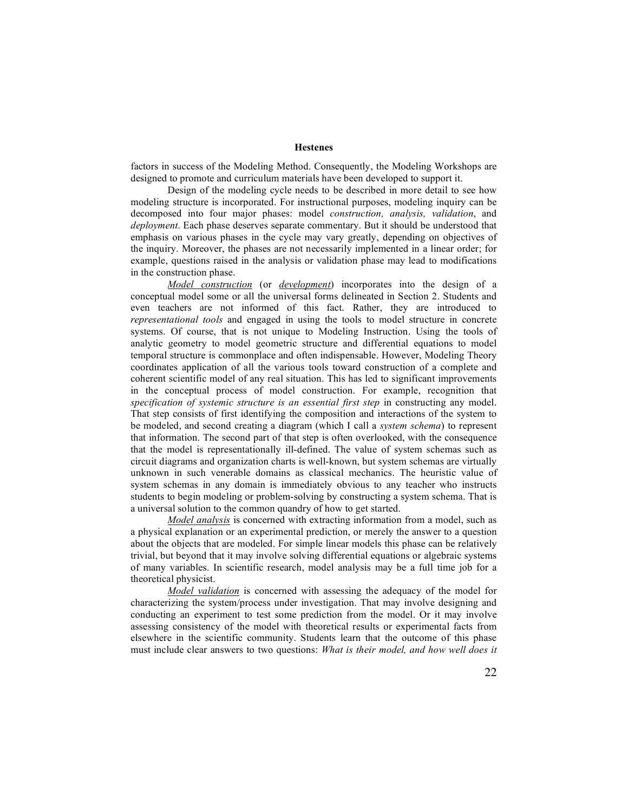factors in success of the Modeling Method. Consequently, the Modeling Workshops are designed to promote and curriculum materials have been developed to support it.

Design of the modeling cycle needs to be described in more detail to see how modeling structure is incorporated. For instructional purposes, modeling inquiry can be decomposed into four major phases: model *construction, analysis, validation*, and *deployment*. Each phase deserves separate commentary. But it should be understood that emphasis on various phases in the cycle may vary greatly, depending on objectives of the inquiry. Moreover, the phases are not necessarily implemented in a linear order; for example, questions raised in the analysis or validation phase may lead to modifications in the construction phase.

*Model construction* (or *development*) incorporates into the design of a conceptual model some or all the universal forms delineated in Section 2. Students and even teachers are not informed of this fact. Rather, they are introduced to *representational tools* and engaged in using the tools to model structure in concrete systems. Of course, that is not unique to Modeling Instruction. Using the tools of analytic geometry to model geometric structure and differential equations to model temporal structure is commonplace and often indispensable. However, Modeling Theory coordinates application of all the various tools toward construction of a complete and coherent scientific model of any real situation. This has led to significant improvements in the conceptual process of model construction. For example, recognition that *specification of systemic structure is an essential first step* in constructing any model. That step consists of first identifying the composition and interactions of the system to be modeled, and second creating a diagram (which I call a *system schema*) to represent that information. The second part of that step is often overlooked, with the consequence that the model is representationally ill-defined. The value of system schemas such as circuit diagrams and organization charts is well-known, but system schemas are virtually unknown in such venerable domains as classical mechanics. The heuristic value of system schemas in any domain is immediately obvious to any teacher who instructs students to begin modeling or problem-solving by constructing a system schema. That is a universal solution to the common quandry of how to get started.

*Model analysis* is concerned with extracting information from a model, such as a physical explanation or an experimental prediction, or merely the answer to a question about the objects that are modeled. For simple linear models this phase can be relatively trivial, but beyond that it may involve solving differential equations or algebraic systems of many variables. In scientific research, model analysis may be a full time job for a theoretical physicist.

*Model validation* is concerned with assessing the adequacy of the model for characterizing the system/process under investigation. That may involve designing and conducting an experiment to test some prediction from the model. Or it may involve assessing consistency of the model with theoretical results or experimental facts from elsewhere in the scientific community. Students learn that the outcome of this phase must include clear answers to two questions: *What is their model, and how well does it*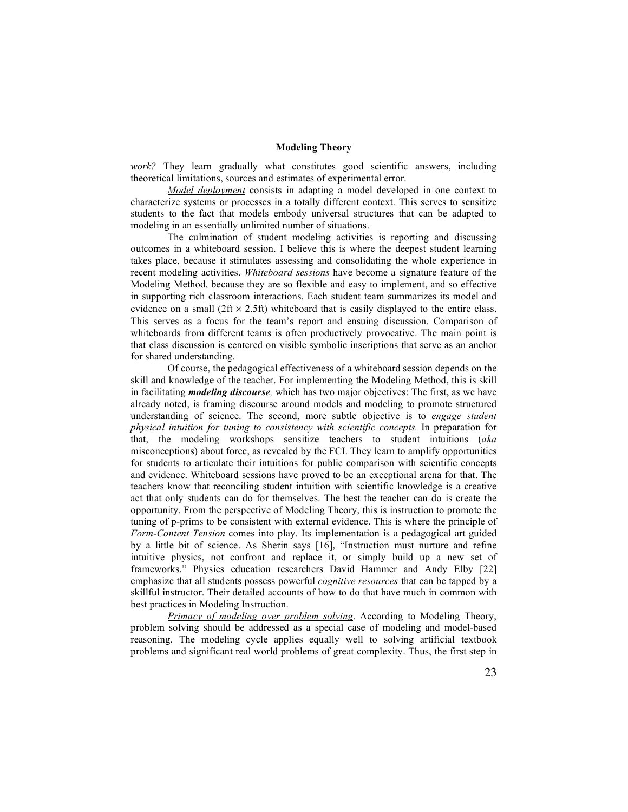*work?* They learn gradually what constitutes good scientific answers, including theoretical limitations, sources and estimates of experimental error.

*Model deployment* consists in adapting a model developed in one context to characterize systems or processes in a totally different context. This serves to sensitize students to the fact that models embody universal structures that can be adapted to modeling in an essentially unlimited number of situations.

The culmination of student modeling activities is reporting and discussing outcomes in a whiteboard session. I believe this is where the deepest student learning takes place, because it stimulates assessing and consolidating the whole experience in recent modeling activities. *Whiteboard sessions* have become a signature feature of the Modeling Method, because they are so flexible and easy to implement, and so effective in supporting rich classroom interactions. Each student team summarizes its model and evidence on a small  $(2ft \times 2.5ft)$  whiteboard that is easily displayed to the entire class. This serves as a focus for the team's report and ensuing discussion. Comparison of whiteboards from different teams is often productively provocative. The main point is that class discussion is centered on visible symbolic inscriptions that serve as an anchor for shared understanding.

Of course, the pedagogical effectiveness of a whiteboard session depends on the skill and knowledge of the teacher. For implementing the Modeling Method, this is skill in facilitating *modeling discourse,* which has two major objectives: The first, as we have already noted, is framing discourse around models and modeling to promote structured understanding of science. The second, more subtle objective is to *engage student physical intuition for tuning to consistency with scientific concepts.* In preparation for that, the modeling workshops sensitize teachers to student intuitions (*aka* misconceptions) about force, as revealed by the FCI. They learn to amplify opportunities for students to articulate their intuitions for public comparison with scientific concepts and evidence. Whiteboard sessions have proved to be an exceptional arena for that. The teachers know that reconciling student intuition with scientific knowledge is a creative act that only students can do for themselves. The best the teacher can do is create the opportunity. From the perspective of Modeling Theory, this is instruction to promote the tuning of p-prims to be consistent with external evidence. This is where the principle of *Form-Content Tension* comes into play. Its implementation is a pedagogical art guided by a little bit of science. As Sherin says [16], "Instruction must nurture and refine intuitive physics, not confront and replace it, or simply build up a new set of frameworks." Physics education researchers David Hammer and Andy Elby [22] emphasize that all students possess powerful *cognitive resources* that can be tapped by a skillful instructor. Their detailed accounts of how to do that have much in common with best practices in Modeling Instruction.

*Primacy of modeling over problem solving*. According to Modeling Theory, problem solving should be addressed as a special case of modeling and model-based reasoning. The modeling cycle applies equally well to solving artificial textbook problems and significant real world problems of great complexity. Thus, the first step in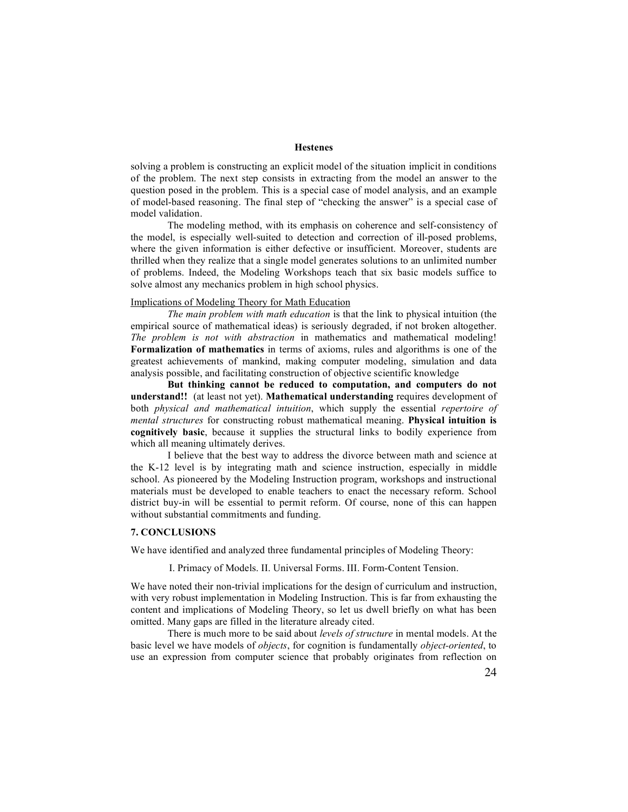solving a problem is constructing an explicit model of the situation implicit in conditions of the problem. The next step consists in extracting from the model an answer to the question posed in the problem. This is a special case of model analysis, and an example of model-based reasoning. The final step of "checking the answer" is a special case of model validation.

The modeling method, with its emphasis on coherence and self-consistency of the model, is especially well-suited to detection and correction of ill-posed problems, where the given information is either defective or insufficient. Moreover, students are thrilled when they realize that a single model generates solutions to an unlimited number of problems. Indeed, the Modeling Workshops teach that six basic models suffice to solve almost any mechanics problem in high school physics.

#### Implications of Modeling Theory for Math Education

*The main problem with math education* is that the link to physical intuition (the empirical source of mathematical ideas) is seriously degraded, if not broken altogether. *The problem is not with abstraction* in mathematics and mathematical modeling! **Formalization of mathematics** in terms of axioms, rules and algorithms is one of the greatest achievements of mankind, making computer modeling, simulation and data analysis possible, and facilitating construction of objective scientific knowledge

**But thinking cannot be reduced to computation, and computers do not understand!!** (at least not yet). **Mathematical understanding** requires development of both *physical and mathematical intuition*, which supply the essential *repertoire of mental structures* for constructing robust mathematical meaning. **Physical intuition is cognitively basic**, because it supplies the structural links to bodily experience from which all meaning ultimately derives.

I believe that the best way to address the divorce between math and science at the K-12 level is by integrating math and science instruction, especially in middle school. As pioneered by the Modeling Instruction program, workshops and instructional materials must be developed to enable teachers to enact the necessary reform. School district buy-in will be essential to permit reform. Of course, none of this can happen without substantial commitments and funding.

#### **7. CONCLUSIONS**

We have identified and analyzed three fundamental principles of Modeling Theory:

I. Primacy of Models. II. Universal Forms. III. Form-Content Tension.

We have noted their non-trivial implications for the design of curriculum and instruction, with very robust implementation in Modeling Instruction. This is far from exhausting the content and implications of Modeling Theory, so let us dwell briefly on what has been omitted. Many gaps are filled in the literature already cited.

There is much more to be said about *levels of structure* in mental models. At the basic level we have models of *objects*, for cognition is fundamentally *object-oriented*, to use an expression from computer science that probably originates from reflection on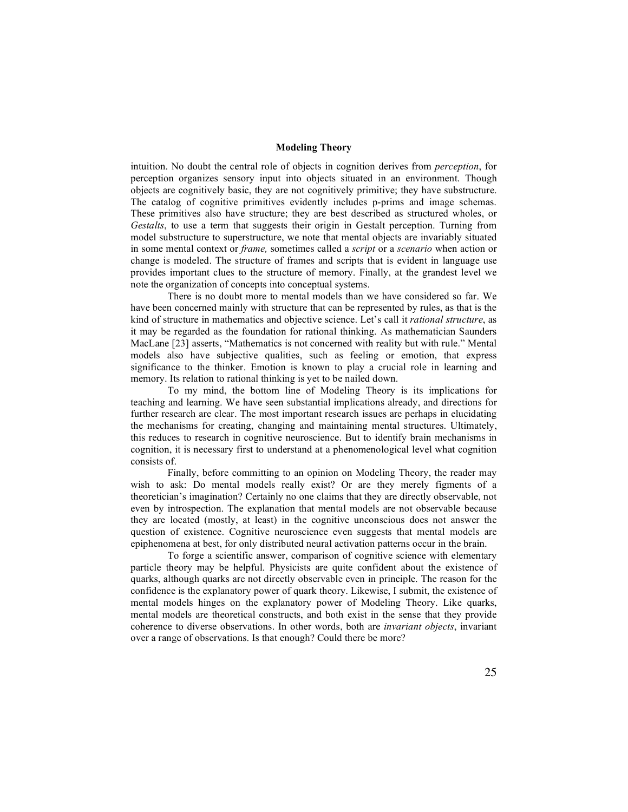intuition. No doubt the central role of objects in cognition derives from *perception*, for perception organizes sensory input into objects situated in an environment. Though objects are cognitively basic, they are not cognitively primitive; they have substructure. The catalog of cognitive primitives evidently includes p-prims and image schemas. These primitives also have structure; they are best described as structured wholes, or *Gestalts*, to use a term that suggests their origin in Gestalt perception. Turning from model substructure to superstructure, we note that mental objects are invariably situated in some mental context or *frame,* sometimes called a *script* or a *scenario* when action or change is modeled. The structure of frames and scripts that is evident in language use provides important clues to the structure of memory. Finally, at the grandest level we note the organization of concepts into conceptual systems.

There is no doubt more to mental models than we have considered so far. We have been concerned mainly with structure that can be represented by rules, as that is the kind of structure in mathematics and objective science. Let's call it *rational structure*, as it may be regarded as the foundation for rational thinking. As mathematician Saunders MacLane [23] asserts, "Mathematics is not concerned with reality but with rule." Mental models also have subjective qualities, such as feeling or emotion, that express significance to the thinker. Emotion is known to play a crucial role in learning and memory. Its relation to rational thinking is yet to be nailed down.

To my mind, the bottom line of Modeling Theory is its implications for teaching and learning. We have seen substantial implications already, and directions for further research are clear. The most important research issues are perhaps in elucidating the mechanisms for creating, changing and maintaining mental structures. Ultimately, this reduces to research in cognitive neuroscience. But to identify brain mechanisms in cognition, it is necessary first to understand at a phenomenological level what cognition consists of.

Finally, before committing to an opinion on Modeling Theory, the reader may wish to ask: Do mental models really exist? Or are they merely figments of a theoretician's imagination? Certainly no one claims that they are directly observable, not even by introspection. The explanation that mental models are not observable because they are located (mostly, at least) in the cognitive unconscious does not answer the question of existence. Cognitive neuroscience even suggests that mental models are epiphenomena at best, for only distributed neural activation patterns occur in the brain.

To forge a scientific answer, comparison of cognitive science with elementary particle theory may be helpful. Physicists are quite confident about the existence of quarks, although quarks are not directly observable even in principle. The reason for the confidence is the explanatory power of quark theory. Likewise, I submit, the existence of mental models hinges on the explanatory power of Modeling Theory. Like quarks, mental models are theoretical constructs, and both exist in the sense that they provide coherence to diverse observations. In other words, both are *invariant objects*, invariant over a range of observations. Is that enough? Could there be more?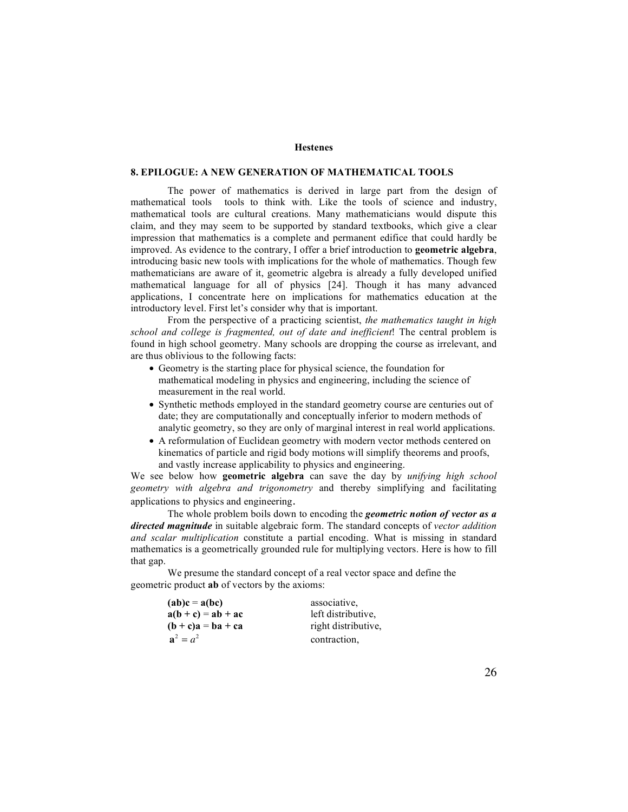#### **8. EPILOGUE: A NEW GENERATION OF MATHEMATICAL TOOLS**

The power of mathematics is derived in large part from the design of mathematical tools tools to think with. Like the tools of science and industry, mathematical tools are cultural creations. Many mathematicians would dispute this claim, and they may seem to be supported by standard textbooks, which give a clear impression that mathematics is a complete and permanent edifice that could hardly be improved. As evidence to the contrary, I offer a brief introduction to **geometric algebra**, introducing basic new tools with implications for the whole of mathematics. Though few mathematicians are aware of it, geometric algebra is already a fully developed unified mathematical language for all of physics [24]. Though it has many advanced applications, I concentrate here on implications for mathematics education at the introductory level. First let's consider why that is important.

From the perspective of a practicing scientist, *the mathematics taught in high school and college is fragmented, out of date and inefficient*! The central problem is found in high school geometry. Many schools are dropping the course as irrelevant, and are thus oblivious to the following facts:

- Geometry is the starting place for physical science, the foundation for mathematical modeling in physics and engineering, including the science of measurement in the real world.
- Synthetic methods employed in the standard geometry course are centuries out of date; they are computationally and conceptually inferior to modern methods of analytic geometry, so they are only of marginal interest in real world applications.
- A reformulation of Euclidean geometry with modern vector methods centered on kinematics of particle and rigid body motions will simplify theorems and proofs, and vastly increase applicability to physics and engineering.

We see below how **geometric algebra** can save the day by *unifying high school geometry with algebra and trigonometry* and thereby simplifying and facilitating applications to physics and engineering.

The whole problem boils down to encoding the *geometric notion of vector as a directed magnitude* in suitable algebraic form. The standard concepts of *vector addition and scalar multiplication* constitute a partial encoding. What is missing in standard mathematics is a geometrically grounded rule for multiplying vectors. Here is how to fill that gap.

We presume the standard concept of a real vector space and define the geometric product **ab** of vectors by the axioms:

| $(ab)c = a(bc)$      | associative.        |
|----------------------|---------------------|
| $a(b + c) = ab + ac$ | left distributive.  |
| $(b + c)a = ba + ca$ | right distributive, |
| $\mathbf{a}^2 = a^2$ | contraction,        |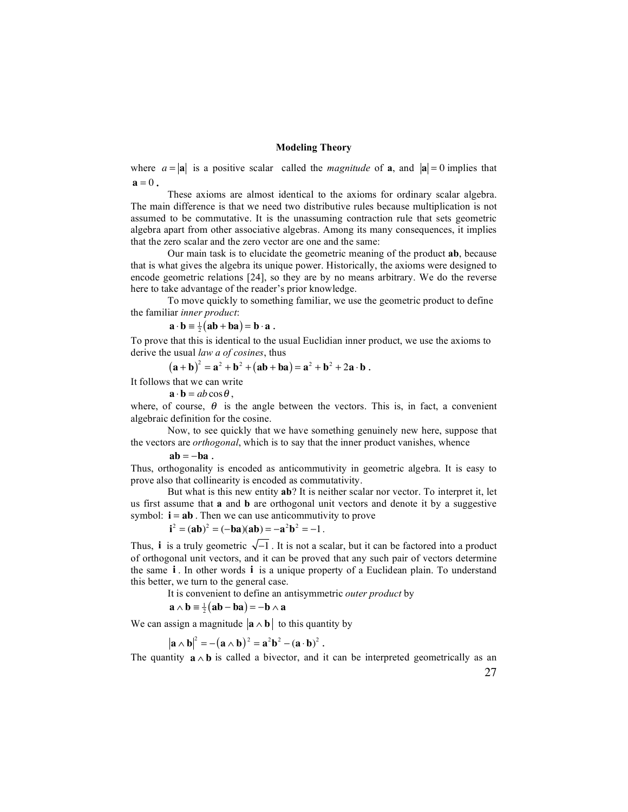where  $a = |\mathbf{a}|$  is a positive scalar called the *magnitude* of **a**, and  $|\mathbf{a}| = 0$  implies that  $a = 0$ .

These axioms are almost identical to the axioms for ordinary scalar algebra. The main difference is that we need two distributive rules because multiplication is not assumed to be commutative. It is the unassuming contraction rule that sets geometric algebra apart from other associative algebras. Among its many consequences, it implies that the zero scalar and the zero vector are one and the same:

Our main task is to elucidate the geometric meaning of the product **ab**, because that is what gives the algebra its unique power. Historically, the axioms were designed to encode geometric relations [24], so they are by no means arbitrary. We do the reverse here to take advantage of the reader's prior knowledge.

To move quickly to something familiar, we use the geometric product to define the familiar *inner product*:

 $\mathbf{a} \cdot \mathbf{b} \equiv \frac{1}{2} (\mathbf{a} \mathbf{b} + \mathbf{b} \mathbf{a}) = \mathbf{b} \cdot \mathbf{a}$ .

To prove that this is identical to the usual Euclidian inner product, we use the axioms to derive the usual *law a of cosines*, thus

 $(a + b)^2 = a^2 + b^2 + (ab + ba) = a^2 + b^2 + 2a \cdot b$ .

It follows that we can write

 $\mathbf{a} \cdot \mathbf{b} = ab \cos \theta$ ,

where, of course,  $\theta$  is the angle between the vectors. This is, in fact, a convenient algebraic definition for the cosine.

Now, to see quickly that we have something genuinely new here, suppose that the vectors are *orthogonal*, which is to say that the inner product vanishes, whence

 $ab = -ba$ .

Thus, orthogonality is encoded as anticommutivity in geometric algebra. It is easy to prove also that collinearity is encoded as commutativity.

But what is this new entity **ab**? It is neither scalar nor vector. To interpret it, let us first assume that **a** and **b** are orthogonal unit vectors and denote it by a suggestive symbol:  $\mathbf{i} = \mathbf{a} \mathbf{b}$ . Then we can use anticommutivity to prove

$$
\mathbf{i}^2 = (\mathbf{a}\mathbf{b})^2 = (-\mathbf{b}\mathbf{a})(\mathbf{a}\mathbf{b}) = -\mathbf{a}^2\mathbf{b}^2 = -1.
$$

Thus, **i** is a truly geometric  $\sqrt{-1}$ . It is not a scalar, but it can be factored into a product of orthogonal unit vectors, and it can be proved that any such pair of vectors determine the same **i** . In other words **i** is a unique property of a Euclidean plain. To understand this better, we turn to the general case.

It is convenient to define an antisymmetric *outer product* by

 $\mathbf{a} \wedge \mathbf{b} \equiv \frac{1}{2} (\mathbf{a} \mathbf{b} - \mathbf{b} \mathbf{a}) = -\mathbf{b} \wedge \mathbf{a}$ 

We can assign a magnitude  $|\mathbf{a} \wedge \mathbf{b}|$  to this quantity by

**a**  $\wedge$  **b**|<sup>2</sup> = -(**a**  $\wedge$  **b**)<sup>2</sup> = **a**<sup>2</sup>**b**<sup>2</sup> -(**a** · **b**)<sup>2</sup>.

The quantity  $\mathbf{a} \wedge \mathbf{b}$  is called a bivector, and it can be interpreted geometrically as an

27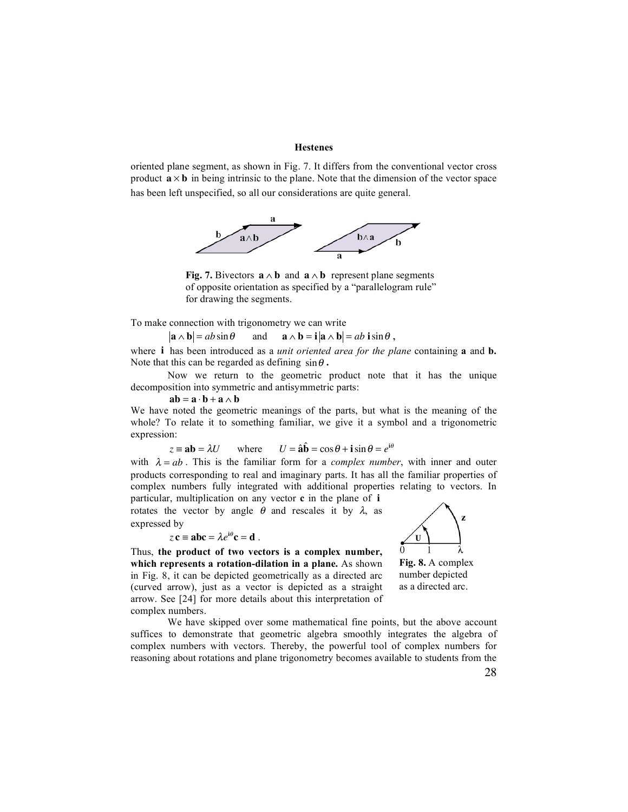oriented plane segment, as shown in Fig. 7. It differs from the conventional vector cross product  $\mathbf{a} \times \mathbf{b}$  in being intrinsic to the plane. Note that the dimension of the vector space has been left unspecified, so all our considerations are quite general.



**Fig. 7.** Bivectors  $\mathbf{a} \wedge \mathbf{b}$  and  $\mathbf{a} \wedge \mathbf{b}$  represent plane segments of opposite orientation as specified by a "parallelogram rule" for drawing the segments.

To make connection with trigonometry we can write

 $|\mathbf{a} \wedge \mathbf{b}| = ab \sin \theta$  and  $\mathbf{a} \wedge \mathbf{b} = \mathbf{i} |\mathbf{a} \wedge \mathbf{b}| = ab \mathbf{i} \sin \theta$ ,

where **i** has been introduced as a *unit oriented area for the plane* containing **a** and **b.**  Note that this can be regarded as defining  $\sin \theta$ .

Now we return to the geometric product note that it has the unique decomposition into symmetric and antisymmetric parts:

 $ab = a \cdot b + a \wedge b$ 

We have noted the geometric meanings of the parts, but what is the meaning of the whole? To relate it to something familiar, we give it a symbol and a trigonometric expression:

 $z \equiv ab = \lambda U$  where  $U = \hat{\mathbf{a}}\hat{\mathbf{b}} = \cos\theta + \mathbf{i}\sin\theta = e^{\mathbf{i}\theta}$ 

with  $\lambda = ab$ . This is the familiar form for a *complex number*, with inner and outer products corresponding to real and imaginary parts. It has all the familiar properties of complex numbers fully integrated with additional properties relating to vectors. In particular, multiplication on any vector **c** in the plane of **i**

rotates the vector by angle  $\theta$  and rescales it by  $\lambda$ , as expressed by

$$
z \mathbf{c} \equiv \mathbf{abc} = \lambda e^{i\theta} \mathbf{c} = \mathbf{d}.
$$

Thus, **the product of two vectors is a complex number, which represents a rotation-dilation in a plane.** As shown in Fig. 8, it can be depicted geometrically as a directed arc (curved arrow), just as a vector is depicted as a straight arrow. See [24] for more details about this interpretation of complex numbers.



**Fig. 8.** A complex number depicted as a directed arc.

We have skipped over some mathematical fine points, but the above account suffices to demonstrate that geometric algebra smoothly integrates the algebra of complex numbers with vectors. Thereby, the powerful tool of complex numbers for reasoning about rotations and plane trigonometry becomes available to students from the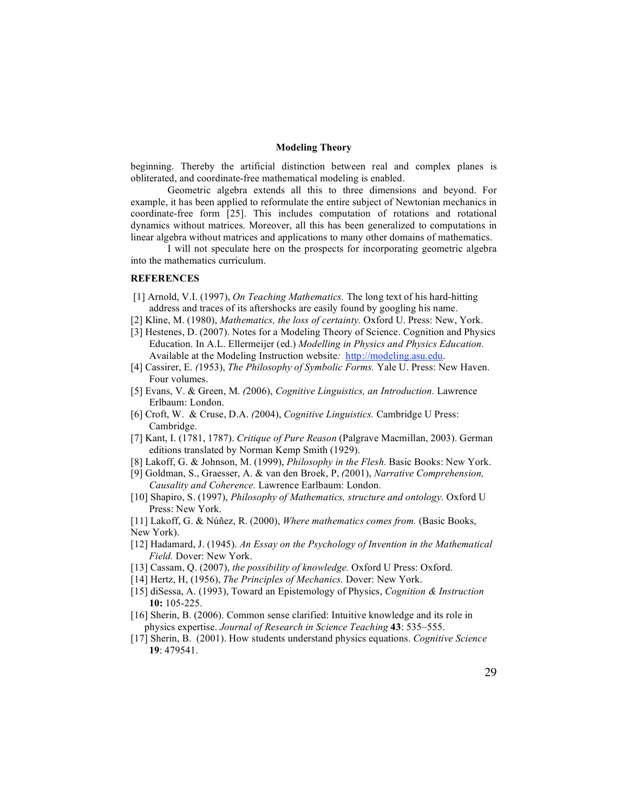beginning. Thereby the artificial distinction between real and complex planes is obliterated, and coordinate-free mathematical modeling is enabled.

Geometric algebra extends all this to three dimensions and beyond. For example, it has been applied to reformulate the entire subject of Newtonian mechanics in coordinate-free form [25]. This includes computation of rotations and rotational dynamics without matrices. Moreover, all this has been generalized to computations in linear algebra without matrices and applications to many other domains of mathematics.

I will not speculate here on the prospects for incorporating geometric algebra into the mathematics curriculum.

#### **REFERENCES**

- [1] Arnold, V.I. (1997), *On Teaching Mathematics.* The long text of his hard-hitting address and traces of its aftershocks are easily found by googling his name.
- [2] Kline, M. (1980), *Mathematics, the loss of certainty.* Oxford U. Press: New, York.
- [3] Hestenes, D. (2007). Notes for a Modeling Theory of Science. Cognition and Physics Education. In A.L. Ellermeijer (ed.) *Modelling in Physics and Physics Education.*  Available at the Modeling Instruction website*:* http://modeling.asu.edu.
- [4] Cassirer, E. *(*1953), *The Philosophy of Symbolic Forms.* Yale U. Press: New Haven. Four volumes.
- [5] Evans, V. & Green, M. *(*2006), *Cognitive Linguistics, an Introduction.* Lawrence Erlbaum: London.
- [6] Croft, W. & Cruse, D.A. *(*2004), *Cognitive Linguistics.* Cambridge U Press: Cambridge.
- [7] Kant, I. (1781, 1787). *Critique of Pure Reason* (Palgrave Macmillan, 2003). German editions translated by Norman Kemp Smith (1929).
- [8] Lakoff, G. & Johnson, M. (1999), *Philosophy in the Flesh.* Basic Books: New York.
- [9] Goldman, S., Graesser, A. & van den Broek, P, *(*2001), *Narrative Comprehension, Causality and Coherence.* Lawrence Earlbaum: London.
- [10] Shapiro, S. (1997), *Philosophy of Mathematics, structure and ontology.* Oxford U Press: New York.

[11] Lakoff, G. & Núñez, R. (2000), *Where mathematics comes from.* (Basic Books, New York).

- [12] Hadamard, J. (1945). *An Essay on the Psychology of Invention in the Mathematical Field.* Dover: New York.
- [13] Cassam, Q. (2007), *the possibility of knowledge*. Oxford U Press: Oxford.
- [14] Hertz, H, (1956), *The Principles of Mechanics.* Dover: New York.
- [15] diSessa, A. (1993), Toward an Epistemology of Physics, *Cognition & Instruction* **10:** 105-225.
- [16] Sherin, B. (2006). Common sense clarified: Intuitive knowledge and its role in physics expertise. *Journal of Research in Science Teaching* **43**: 535–555.
- [17] Sherin, B. (2001). How students understand physics equations. *Cognitive Science* **19**: 479541.